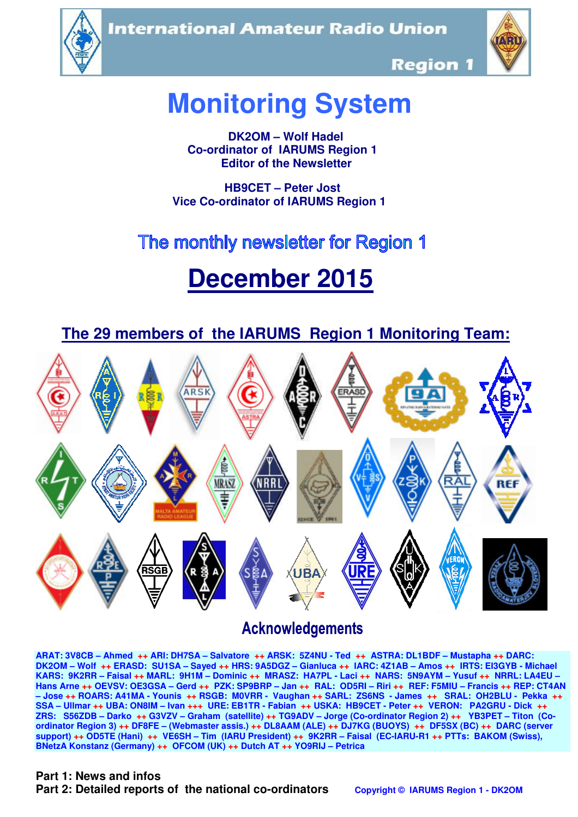**International Amateur Radio Union** 





**Region 1** 

# **Monitoring System**

 **DK2OM – Wolf Hadel Co-ordinator of IARUMS Region 1 Editor of the Newsletter** 

 **HB9CET – Peter Jost Vice Co-ordinator of IARUMS Region 1** 

# The monthly newsletter for Region 1

# **December 2015**



# **Acknowledgements**

**ARAT: 3V8CB – Ahmed ++ ARI: DH7SA – Salvatore ++ ARSK: 5Z4NU - Ted ++ ASTRA: DL1BDF – Mustapha ++ DARC: DK2OM – Wolf ++ ERASD: SU1SA – Sayed ++ HRS: 9A5DGZ – Gianluca ++ IARC: 4Z1AB – Amos ++ IRTS: EI3GYB - Michael KARS: 9K2RR – Faisal ++ MARL: 9H1M – Dominic ++ MRASZ: HA7PL - Laci ++ NARS: 5N9AYM – Yusuf ++ NRRL: LA4EU – Hans Arne ++ OEVSV: OE3GSA – Gerd ++ PZK: SP9BRP – Jan ++ RAL: OD5RI – Riri ++ REF: F5MIU – Francis ++ REP: CT4AN – Jose ++ ROARS: A41MA - Younis ++ RSGB: M0VRR - Vaughan ++ SARL: ZS6NS - James ++ SRAL: OH2BLU - Pekka ++ SSA – Ullmar ++ UBA: ON8IM – Ivan +++ URE: EB1TR - Fabian ++ USKA: HB9CET - Peter ++ VERON: PA2GRU - Dick ++ ZRS: S56ZDB – Darko ++ G3VZV – Graham (satellite) ++ TG9ADV – Jorge (Co-ordinator Region 2) ++ YB3PET – Titon (Coordinator Region 3) ++ DF8FE – (Webmaster assis.) ++ DL8AAM (ALE) ++ DJ7KG (BUOYS) ++ DF5SX (BC) ++ DARC (server support) ++ OD5TE (Hani) ++ VE6SH – Tim (IARU President) ++ 9K2RR – Faisal (EC-IARU-R1 ++ PTTs: BAKOM (Swiss), BNetzA Konstanz (Germany) ++ OFCOM (UK) ++ Dutch AT ++ YO9RIJ – Petrica** 

#### **Part 1: News and infos**

**Part 2: Detailed reports of the national co-ordinators copyright © IARUMS Region 1 - DK2OM**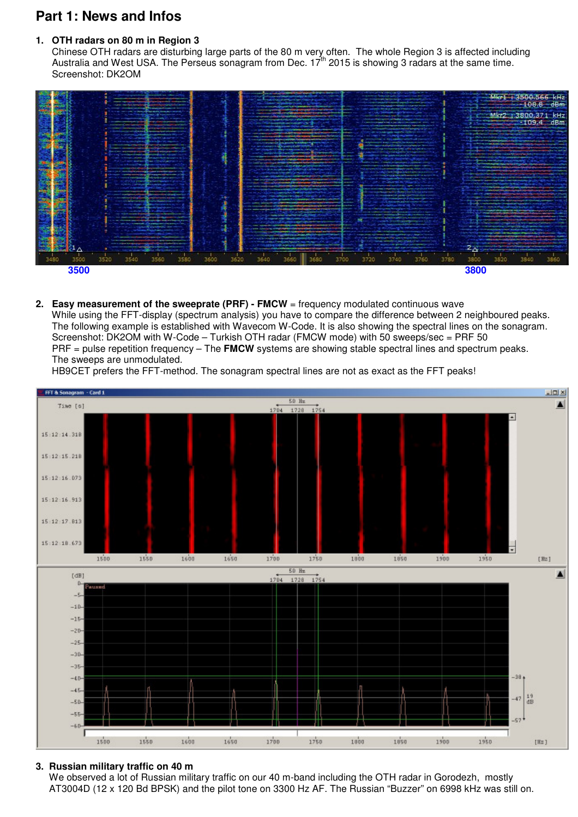# **Part 1: News and Infos**

#### **1. OTH radars on 80 m in Region 3**

 Chinese OTH radars are disturbing large parts of the 80 m very often. The whole Region 3 is affected including Australia and West USA. The Perseus sonagram from Dec.  $17<sup>th</sup>$  2015 is showing 3 radars at the same time. Screenshot: DK2OM



**2. Easy measurement of the sweeprate (PRF) - FMCW** = frequency modulated continuous wave While using the FFT-display (spectrum analysis) you have to compare the difference between 2 neighboured peaks. The following example is established with Wavecom W-Code. It is also showing the spectral lines on the sonagram.

 Screenshot: DK2OM with W-Code – Turkish OTH radar (FMCW mode) with 50 sweeps/sec = PRF 50 PRF = pulse repetition frequency – The **FMCW** systems are showing stable spectral lines and spectrum peaks. The sweeps are unmodulated.

HB9CET prefers the FFT-method. The sonagram spectral lines are not as exact as the FFT peaks!



#### **3. Russian military traffic on 40 m**

We observed a lot of Russian military traffic on our 40 m-band including the OTH radar in Gorodezh, mostly AT3004D (12 x 120 Bd BPSK) and the pilot tone on 3300 Hz AF. The Russian "Buzzer" on 6998 kHz was still on.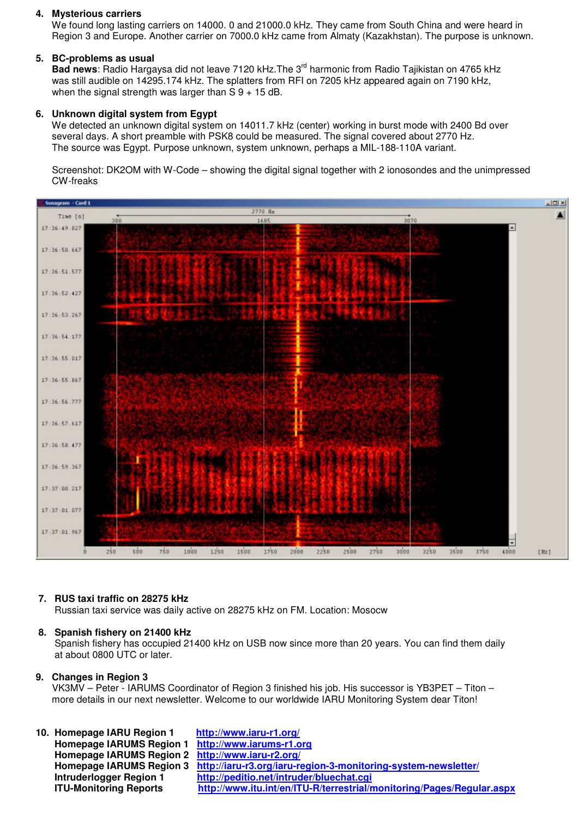#### **4. Mysterious carriers**

 We found long lasting carriers on 14000. 0 and 21000.0 kHz. They came from South China and were heard in Region 3 and Europe. Another carrier on 7000.0 kHz came from Almaty (Kazakhstan). The purpose is unknown.

#### **5. BC-problems as usual**

Bad news: Radio Hargaysa did not leave 7120 kHz. The 3<sup>rd</sup> harmonic from Radio Tajikistan on 4765 kHz was still audible on 14295.174 kHz. The splatters from RFI on 7205 kHz appeared again on 7190 kHz, when the signal strength was larger than  $S_9 + 15$  dB.

#### **6. Unknown digital system from Egypt**

We detected an unknown digital system on 14011.7 kHz (center) working in burst mode with 2400 Bd over several days. A short preamble with PSK8 could be measured. The signal covered about 2770 Hz. The source was Egypt. Purpose unknown, system unknown, perhaps a MIL-188-110A variant.

 Screenshot: DK2OM with W-Code – showing the digital signal together with 2 ionosondes and the unimpressed CW-freaks



#### **7. RUS taxi traffic on 28275 kHz**

Russian taxi service was daily active on 28275 kHz on FM. Location: Mosocw

#### **8. Spanish fishery on 21400 kHz**

 Spanish fishery has occupied 21400 kHz on USB now since more than 20 years. You can find them daily at about 0800 UTC or later.

#### **9. Changes in Region 3**

 VK3MV – Peter - IARUMS Coordinator of Region 3 finished his job. His successor is YB3PET – Titon – more details in our next newsletter. Welcome to our worldwide IARU Monitoring System dear Titon!

| 10. Homepage IARU Region 1                        | http://www.iaru-r1.org/                                                                 |
|---------------------------------------------------|-----------------------------------------------------------------------------------------|
| Homepage IARUMS Region 1 http://www.iarums-r1.org |                                                                                         |
| Homepage IARUMS Region 2 http://www.iaru-r2.org/  |                                                                                         |
|                                                   | Homepage IARUMS Region 3 http://iaru-r3.org/iaru-region-3-monitoring-system-newsletter/ |
| <b>Intruderlogger Region 1</b>                    | http://peditio.net/intruder/bluechat.cgi                                                |
| <b>ITU-Monitoring Reports</b>                     | http://www.itu.int/en/ITU-R/terrestrial/monitoring/Pages/Regular.aspx                   |
|                                                   |                                                                                         |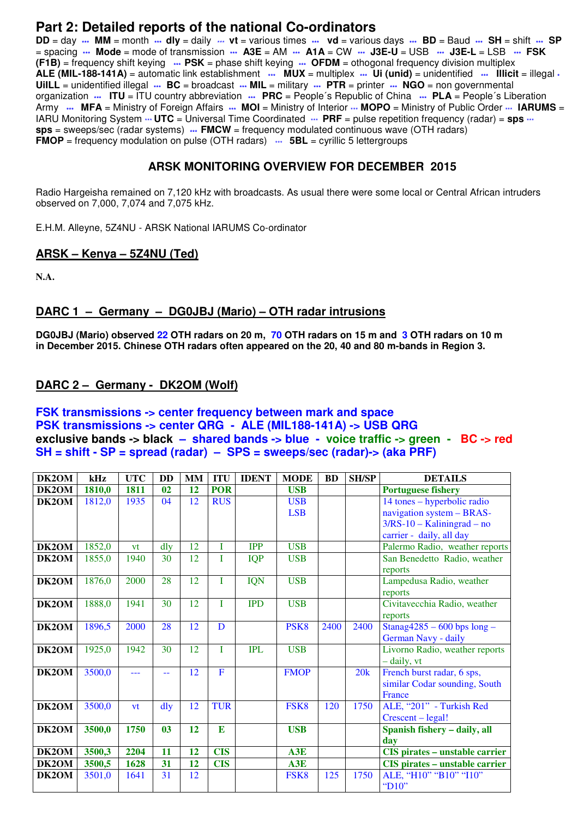### **Part 2: Detailed reports of the national Co-ordinators**

**DD** = day **\*\*\* MM** = month **\*\*\* dly** = daily \*\*\* **vt** = various times **\*\*\* vd** = various days **\*\*\* BD** = Baud **\*\*\* SH** = shift **\*\*\* SP** = spacing **\*\*\* Mode** = mode of transmission **\*\*\* A3E** = AM **\*\*\* A1A** = CW **\*\*\* J3E-U** = USB **\*\*\* J3E-L** = LSB **\*\*\* FSK (F1B)** = frequency shift keying **\*\*\* PSK** = phase shift keying **\*\*\* OFDM** = othogonal frequency division multiplex **ALE (MIL-188-141A)** = automatic link establishment **\*\*\* MUX** = multiplex **\*\*\* Ui (unid)** = unidentified **\*\*\* Illicit** = illegal **\* UiILL** = unidentified illegal **\*\*\* BC** = broadcast **\*\*\* MIL** = military **\*\*\* PTR** = printer **\*\*\* NGO** = non governmental organization **\*\*\* ITU** = ITU country abbreviation **\*\*\* PRC** = People´s Republic of China **\*\*\* PLA** = People´s Liberation Army **\*\*\*** MFA = Ministry of Foreign Affairs \*\*\* MOI = Ministry of Interior \*\*\* MOPO = Ministry of Public Order \*\*\* IARUMS = IARU Monitoring System  $\cdots$  **UTC** = Universal Time Coordinated  $\cdots$  PRF = pulse repetition frequency (radar) = sps  $\cdots$ **sps** = sweeps/sec (radar systems) **\*\*\* FMCW** = frequency modulated continuous wave (OTH radars) **FMOP** = frequency modulation on pulse (OTH radars)  $\cdots$  **5BL** = cyrillic 5 lettergroups

#### **ARSK MONITORING OVERVIEW FOR DECEMBER 2015**

Radio Hargeisha remained on 7,120 kHz with broadcasts. As usual there were some local or Central African intruders observed on 7,000, 7,074 and 7,075 kHz.

E.H.M. Alleyne, 5Z4NU - ARSK National IARUMS Co-ordinator

#### **ARSK – Kenya – 5Z4NU (Ted)**

**N.A.** 

#### **DARC 1 – Germany – DG0JBJ (Mario) – OTH radar intrusions**

**DG0JBJ (Mario) observed 22 OTH radars on 20 m, 70 OTH radars on 15 m and 3 OTH radars on 10 m in December 2015. Chinese OTH radars often appeared on the 20, 40 and 80 m-bands in Region 3.** 

#### **DARC 2 – Germany - DK2OM (Wolf)**

#### **FSK transmissions -> center frequency between mark and space PSK transmissions -> center QRG - ALE (MIL188-141A) -> USB QRG exclusive bands -> black – shared bands -> blue - voice traffic -> green - BC -> red SH = shift - SP = spread (radar) – SPS = sweeps/sec (radar)-> (aka PRF)**

| DK2OM | kHz    | <b>UTC</b> | <b>DD</b>      | <b>MM</b> | <b>ITU</b>  | <b>IDENT</b> | <b>MODE</b>      | <b>BD</b> | <b>SH/SP</b> | <b>DETAILS</b>                        |
|-------|--------|------------|----------------|-----------|-------------|--------------|------------------|-----------|--------------|---------------------------------------|
| DK2OM | 1810,0 | 1811       | 0 <sub>2</sub> | 12        | <b>POR</b>  |              | <b>USB</b>       |           |              | <b>Portuguese fishery</b>             |
| DK2OM | 1812,0 | 1935       | 04             | 12        | <b>RUS</b>  |              | <b>USB</b>       |           |              | 14 tones – hyperbolic radio           |
|       |        |            |                |           |             |              | <b>LSB</b>       |           |              | navigation system - BRAS-             |
|       |        |            |                |           |             |              |                  |           |              | $3/RS-10 - Kaliningrad - no$          |
|       |        |            |                |           |             |              |                  |           |              | carrier - daily, all day              |
| DK2OM | 1852,0 | vt         | dly            | 12        | T           | <b>IPP</b>   | <b>USB</b>       |           |              | Palermo Radio, weather reports        |
| DK2OM | 1855,0 | 1940       | 30             | 12        | I           | <b>IQP</b>   | <b>USB</b>       |           |              | San Benedetto Radio, weather          |
|       |        |            |                |           |             |              |                  |           |              | reports                               |
| DK2OM | 1876,0 | 2000       | 28             | 12        | T           | <b>IQN</b>   | <b>USB</b>       |           |              | Lampedusa Radio, weather              |
|       |        |            |                |           |             |              |                  |           |              | reports                               |
| DK2OM | 1888,0 | 1941       | 30             | 12        | T           | <b>IPD</b>   | <b>USB</b>       |           |              | Civitavecchia Radio, weather          |
|       |        |            |                |           |             |              |                  |           |              | reports                               |
| DK2OM | 1896,5 | 2000       | 28             | 12        | D           |              | PSK <sub>8</sub> | 2400      | 2400         | Stanag $4285 - 600$ bps long -        |
|       |        |            |                |           |             |              |                  |           |              | German Navy - daily                   |
| DK2OM | 1925,0 | 1942       | 30             | 12        | T           | <b>IPL</b>   | <b>USB</b>       |           |              | Livorno Radio, weather reports        |
|       |        |            |                |           |             |              |                  |           |              | - daily, vt                           |
| DK2OM | 3500,0 |            |                | 12        | $\mathbf F$ |              | <b>FMOP</b>      |           | 20k          | French burst radar, 6 sps,            |
|       |        |            |                |           |             |              |                  |           |              | similar Codar sounding, South         |
|       |        |            |                |           |             |              |                  |           |              | France                                |
| DK2OM | 3500,0 | vt         | dly            | 12        | <b>TUR</b>  |              | FSK <sub>8</sub> | 120       | 1750         | ALE, "201" - Turkish Red              |
|       |        |            |                |           |             |              |                  |           |              | Crescent – legal!                     |
| DK2OM | 3500,0 | 1750       | 0 <sub>3</sub> | 12        | E           |              | <b>USB</b>       |           |              | Spanish fishery - daily, all          |
|       |        |            |                |           |             |              |                  |           |              | dav                                   |
| DK2OM | 3500,3 | 2204       | 11             | 12        | <b>CIS</b>  |              | A3E              |           |              | <b>CIS</b> pirates - unstable carrier |
| DK2OM | 3500,5 | 1628       | 31             | 12        | <b>CIS</b>  |              | A3E              |           |              | <b>CIS</b> pirates – unstable carrier |
| DK2OM | 3501,0 | 1641       | 31             | 12        |             |              | FSK <sub>8</sub> | 125       | 1750         | ALE, "H10" "B10" "I10"                |
|       |        |            |                |           |             |              |                  |           |              | "D10"                                 |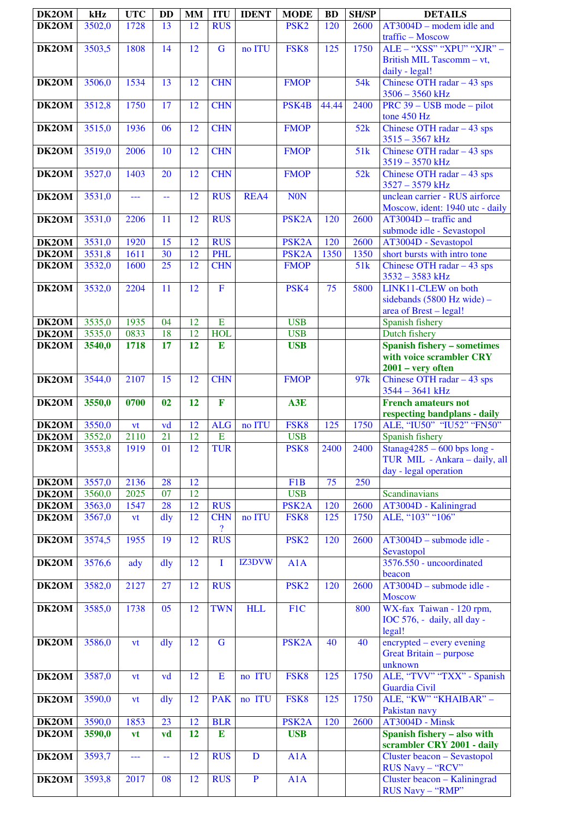| DK2OM              | kHz    | <b>UTC</b> | <b>DD</b> | <b>MM</b> | <b>ITU</b>     | <b>IDENT</b> | <b>MODE</b>        | <b>BD</b> | <b>SH/SP</b>    | <b>DETAILS</b>                                 |
|--------------------|--------|------------|-----------|-----------|----------------|--------------|--------------------|-----------|-----------------|------------------------------------------------|
| DK2OM              | 3502,0 | 1728       | 13        | 12        | <b>RUS</b>     |              | PSK <sub>2</sub>   | 120       | 2600            | $AT3004D$ – modem idle and                     |
|                    |        |            |           |           |                |              |                    |           |                 | traffic - Moscow                               |
| DK2OM              | 3503,5 | 1808       | 14        | 12        | $\mathbf G$    | no ITU       | FSK8               | 125       | 1750            | ALE - "XSS" "XPU" "XJR" -                      |
|                    |        |            |           |           |                |              |                    |           |                 | British MIL Tascomm - vt,                      |
|                    |        |            |           |           |                |              |                    |           |                 | daily - legal!                                 |
| DK2OM              | 3506,0 | 1534       | 13        | 12        | <b>CHN</b>     |              | <b>FMOP</b>        |           | 54 <sub>k</sub> | Chinese OTH radar $-43$ sps                    |
|                    |        |            |           |           |                |              |                    |           |                 | $3506 - 3560$ kHz                              |
| DK2OM              | 3512,8 | 1750       | 17        | 12        | <b>CHN</b>     |              | PSK4B              | 44.44     | 2400            | PRC 39 – USB mode – pilot                      |
|                    |        |            |           |           |                |              |                    |           |                 | tone 450 Hz                                    |
| DK2OM              | 3515,0 | 1936       | 06        | 12        | <b>CHN</b>     |              | <b>FMOP</b>        |           | 52k             | Chinese OTH radar $-43$ sps                    |
|                    |        |            |           |           |                |              |                    |           |                 | $3515 - 3567$ kHz                              |
| DK2OM              | 3519,0 | 2006       | 10        | 12        | <b>CHN</b>     |              | <b>FMOP</b>        |           | 51k             | Chinese OTH radar $-43$ sps                    |
|                    |        |            |           |           |                |              |                    |           |                 | 3519 - 3570 kHz                                |
| DK2OM              | 3527,0 | 1403       | 20        | 12        | <b>CHN</b>     |              | <b>FMOP</b>        |           | 52k             | Chinese OTH radar $-43$ sps                    |
|                    |        |            |           |           |                |              |                    |           |                 | 3527 - 3579 kHz                                |
| DK2OM              | 3531,0 | ---        | 44        | 12        | <b>RUS</b>     | REA4         | <b>NON</b>         |           |                 | unclean carrier - RUS airforce                 |
|                    |        |            |           |           |                |              |                    |           |                 | Moscow, ident: 1940 utc - daily                |
| DK2OM              | 3531,0 | 2206       | 11        | 12        | <b>RUS</b>     |              | PSK <sub>2</sub> A | 120       | 2600            | $AT3004D - \text{traffic}$ and                 |
|                    |        |            |           |           |                |              |                    |           |                 | submode idle - Sevastopol                      |
| DK2OM              | 3531,0 | 1920       | 15        | 12        | <b>RUS</b>     |              | PSK <sub>2</sub> A | 120       | 2600            | AT3004D - Sevastopol                           |
| DK2OM              | 3531,8 | 1611       | 30        | 12        | <b>PHL</b>     |              | PSK <sub>2</sub> A | 1350      | 1350            | short bursts with intro tone                   |
| DK2OM              | 3532,0 | 1600       | 25        | 12        | <b>CHN</b>     |              | <b>FMOP</b>        |           | 51k             | Chinese OTH radar $-43$ sps                    |
|                    |        |            |           |           |                |              |                    |           |                 | 3532 - 3583 kHz                                |
| DK2OM              | 3532,0 | 2204       | 11        | 12        | $\overline{F}$ |              | PSK4               | 75        | 5800            | LINK11-CLEW on both                            |
|                    |        |            |           |           |                |              |                    |           |                 | sidebands (5800 Hz wide) -                     |
|                    |        |            |           |           |                |              |                    |           |                 | area of Brest - legal!                         |
| DK2OM              | 3535,0 | 1935       | 04        | 12        | $\overline{E}$ |              | <b>USB</b>         |           |                 | Spanish fishery                                |
| DK2OM              | 3535,0 | 0833       | 18        | 12        | <b>HOL</b>     |              | <b>USB</b>         |           |                 | Dutch fishery                                  |
| DK2OM              | 3540,0 | 1718       | 17        | 12        | E              |              | <b>USB</b>         |           |                 | <b>Spanish fishery - sometimes</b>             |
|                    |        |            |           |           |                |              |                    |           |                 | with voice scrambler CRY                       |
|                    |        |            | 15        |           | <b>CHN</b>     |              |                    |           |                 | $2001 - very$ often                            |
| DK2OM              | 3544,0 | 2107       |           | 12        |                |              | <b>FMOP</b>        |           | 97k             | Chinese OTH radar $-43$ sps<br>3544 - 3641 kHz |
| DK2OM              | 3550,0 | 0700       | 02        | 12        | $\mathbf F$    |              | A3E                |           |                 | <b>French amateurs not</b>                     |
|                    |        |            |           |           |                |              |                    |           |                 | respecting bandplans - daily                   |
| DK2OM              | 3550,0 | vt         | vd        | 12        | <b>ALG</b>     | no ITU       | FSK8               | 125       | 1750            | ALE, "IU50" "IU52" "FN50"                      |
| DK2OM              | 3552,0 | 2110       | 21        | 12        | E              |              | <b>USB</b>         |           |                 | Spanish fishery                                |
| DK2OM              | 3553,8 | 1919       | 01        | 12        | <b>TUR</b>     |              | PSK <sub>8</sub>   | 2400      | 2400            | Stanag $4285 - 600$ bps long -                 |
|                    |        |            |           |           |                |              |                    |           |                 | TUR MIL - Ankara - daily, all                  |
|                    |        |            |           |           |                |              |                    |           |                 | day - legal operation                          |
| DK2OM              | 3557,0 | 2136       | 28        | 12        |                |              | F1B                | 75        | 250             |                                                |
| DK2OM              | 3560,0 | 2025       | 07        | 12        |                |              | <b>USB</b>         |           |                 | Scandinavians                                  |
| DK2OM              | 3563,0 | 1547       | 28        | 12        | <b>RUS</b>     |              | PSK <sub>2</sub> A | 120       | 2600            | AT3004D - Kaliningrad                          |
| DK2OM              | 3567,0 | <b>vt</b>  | dly       | 12        | <b>CHN</b>     | no ITU       | FSK8               | 125       | 1750            | ALE, "103" "106"                               |
|                    |        |            |           |           | $\overline{?}$ |              |                    |           |                 |                                                |
| DK2OM              | 3574,5 | 1955       | 19        | 12        | <b>RUS</b>     |              | PSK <sub>2</sub>   | 120       | 2600            | AT3004D - submode idle -                       |
|                    |        |            |           |           |                |              |                    |           |                 | Sevastopol                                     |
| DK2OM              | 3576,6 | ady        | dly       | 12        | T              | IZ3DVW       | A1A                |           |                 | 3576.550 - uncoordinated                       |
|                    |        |            |           |           |                |              |                    |           |                 | beacon                                         |
| DK2OM              | 3582,0 | 2127       | 27        | 12        | <b>RUS</b>     |              | PSK <sub>2</sub>   | 120       | 2600            | AT3004D - submode idle -                       |
|                    |        |            |           |           |                |              |                    |           |                 | <b>Moscow</b>                                  |
| DK2OM              | 3585,0 | 1738       | 05        | 12        | <b>TWN</b>     | <b>HLL</b>   | F1C                |           | 800             | WX-fax Taiwan - 120 rpm,                       |
|                    |        |            |           |           |                |              |                    |           |                 | IOC 576, - daily, all day -                    |
|                    |        |            |           |           |                |              |                    |           |                 | legal!                                         |
| DK2OM              | 3586,0 | vt         | dly       | 12        | G              |              | PSK <sub>2</sub> A | 40        | 40              | encrypted – every evening                      |
|                    |        |            |           |           |                |              |                    |           |                 | Great Britain - purpose                        |
|                    |        |            |           |           |                |              |                    |           |                 | unknown<br>ALE, "TVV" "TXX" - Spanish          |
| DK2OM              | 3587,0 | vt         | vd        | 12        | E              | no ITU       | FSK8               | 125       | 1750            | <b>Guardia Civil</b>                           |
| DK2OM              | 3590,0 |            | dly       | 12        | <b>PAK</b>     | no ITU       | FSK8               | 125       | 1750            | ALE, "KW" "KHAIBAR" -                          |
|                    |        | vt         |           |           |                |              |                    |           |                 | Pakistan navy                                  |
| DK <sub>2</sub> OM | 3590,0 | 1853       | 23        | 12        | <b>BLR</b>     |              | PSK <sub>2</sub> A | 120       | 2600            | AT3004D - Minsk                                |
| DK2OM              | 3590,0 | vt         | vd        | 12        | E              |              | <b>USB</b>         |           |                 | Spanish fishery - also with                    |
|                    |        |            |           |           |                |              |                    |           |                 | scrambler CRY 2001 - daily                     |
| DK2OM              | 3593,7 | ---        | 44        | 12        | <b>RUS</b>     | D            | A1A                |           |                 | Cluster beacon - Sevastopol                    |
|                    |        |            |           |           |                |              |                    |           |                 | RUS Navy - "RCV"                               |
| DK2OM              | 3593,8 | 2017       | 08        | 12        | <b>RUS</b>     | $\mathbf{P}$ | A1A                |           |                 | Cluster beacon - Kaliningrad                   |
|                    |        |            |           |           |                |              |                    |           |                 | RUS Navy - "RMP"                               |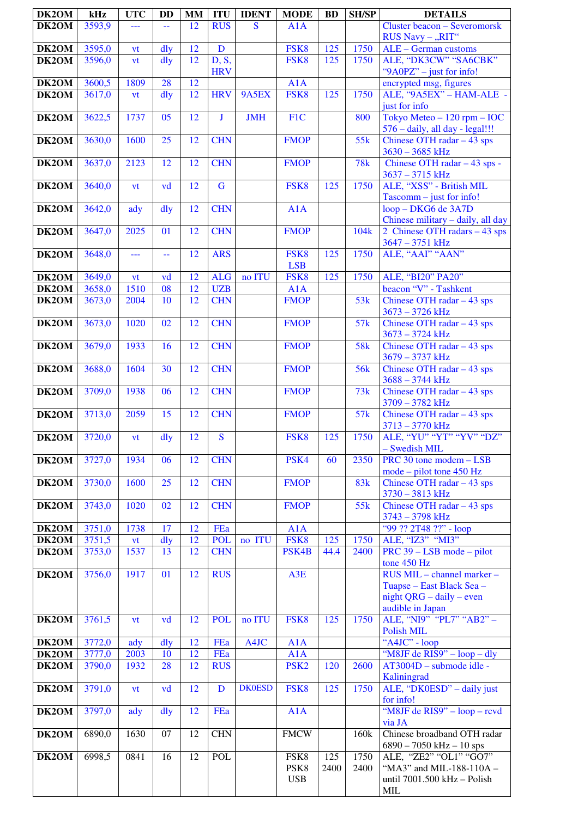| DK2OM          | kHz              | <b>UTC</b>        | <b>DD</b>       | <b>MM</b>       | <b>ITU</b>               | <b>IDENT</b>  | <b>MODE</b>             | <b>BD</b> | <b>SH/SP</b>     | <b>DETAILS</b>                                          |
|----------------|------------------|-------------------|-----------------|-----------------|--------------------------|---------------|-------------------------|-----------|------------------|---------------------------------------------------------|
| DK2OM          | 3593,9           | ---               | $\overline{a}$  | 12              | <b>RUS</b>               | S             | A1A                     |           |                  | <b>Cluster beacon - Severomorsk</b>                     |
|                |                  |                   |                 |                 |                          |               |                         |           |                  | RUS Navy - "RIT"                                        |
| DK2OM          | 3595,0           | vt                | dly             | 12              | D                        |               | FSK8                    | 125       | 1750             | ALE - German customs                                    |
| DK2OM          | 3596,0           | vt                | dly             | 12              | D, S,                    |               | FSK8                    | 125       | 1750             | ALE, "DK3CW" "SA6CBK"                                   |
|                |                  |                   | 28              | $\overline{12}$ | <b>HRV</b>               |               |                         |           |                  | "9A0PZ" - just for info!                                |
| DK2OM<br>DK2OM | 3600,5<br>3617,0 | 1809<br><b>vt</b> | dly             | 12              | <b>HRV</b>               | 9A5EX         | A1A<br>FSK8             | 125       | 1750             | encrypted msg, figures<br>ALE, "9A5EX" - HAM-ALE -      |
|                |                  |                   |                 |                 |                          |               |                         |           |                  | just for info                                           |
| DK2OM          | 3622,5           | 1737              | 05              | 12              | J                        | <b>JMH</b>    | F <sub>1</sub> C        |           | 800              | Tokyo Meteo - 120 rpm - IOC                             |
|                |                  |                   |                 |                 |                          |               |                         |           |                  | 576 - daily, all day - legal!!!                         |
| DK2OM          | 3630,0           | 1600              | 25              | 12              | <b>CHN</b>               |               | <b>FMOP</b>             |           | 55k              | Chinese OTH radar - 43 sps                              |
|                |                  |                   |                 |                 |                          |               |                         |           |                  | $3630 - 3685$ kHz                                       |
| DK2OM          | 3637,0           | 2123              | 12              | 12              | <b>CHN</b>               |               | <b>FMOP</b>             |           | 78k              | Chinese OTH radar - 43 sps -                            |
|                |                  |                   |                 |                 |                          |               |                         |           |                  | $3637 - 3715$ kHz                                       |
| DK2OM          | 3640,0           | vt                | vd              | 12              | $\overline{G}$           |               | FSK8                    | 125       | 1750             | ALE, "XSS" - British MIL<br>Tascomm - just for info!    |
| DK2OM          | 3642,0           | ady               | $\frac{dy}{dx}$ | 12              | <b>CHN</b>               |               | $\overline{A}1A$        |           |                  | loop - DKG6 de 3A7D                                     |
|                |                  |                   |                 |                 |                          |               |                         |           |                  | Chinese military - daily, all day                       |
| DK2OM          | 3647,0           | 2025              | 01              | $\overline{12}$ | <b>CHN</b>               |               | <b>FMOP</b>             |           | 104 <sub>k</sub> | 2 Chinese OTH radars - 43 sps                           |
|                |                  |                   |                 |                 |                          |               |                         |           |                  | 3647 - 3751 kHz                                         |
| DK2OM          | 3648,0           | ---               | 44              | 12              | <b>ARS</b>               |               | FSK8                    | 125       | 1750             | ALE, "AAI" "AAN"                                        |
|                |                  |                   |                 |                 |                          |               | <b>LSB</b>              |           |                  |                                                         |
| DK2OM          | 3649,0           | vt                | vd              | 12              | <b>ALG</b>               | no ITU        | FSK8                    | 125       | 1750             | ALE, "BI20" PA20"                                       |
| DK2OM<br>DK2OM | 3658,0<br>3673,0 | 1510<br>2004      | 08<br>10        | 12<br>12        | <b>UZB</b><br><b>CHN</b> |               | A1A<br><b>FMOP</b>      |           | 53k              | beacon "V" - Tashkent<br>Chinese OTH radar $-43$ sps    |
|                |                  |                   |                 |                 |                          |               |                         |           |                  | $3673 - 3726$ kHz                                       |
| DK2OM          | 3673,0           | 1020              | 02              | 12              | <b>CHN</b>               |               | <b>FMOP</b>             |           | 57k              | Chinese OTH radar $-43$ sps                             |
|                |                  |                   |                 |                 |                          |               |                         |           |                  | $3673 - 3724$ kHz                                       |
| DK2OM          | 3679,0           | 1933              | 16              | 12              | <b>CHN</b>               |               | <b>FMOP</b>             |           | <b>58k</b>       | Chinese OTH radar $-43$ sps                             |
|                |                  |                   |                 |                 |                          |               |                         |           |                  | 3679 - 3737 kHz                                         |
| DK2OM          | 3688,0           | 1604              | 30              | 12              | <b>CHN</b>               |               | <b>FMOP</b>             |           | <b>56k</b>       | Chinese OTH radar $-43$ sps                             |
|                |                  | 1938              |                 | 12              | <b>CHN</b>               |               |                         |           | 73k              | $3688 - 3744$ kHz                                       |
| DK2OM          | 3709,0           |                   | 06              |                 |                          |               | <b>FMOP</b>             |           |                  | Chinese OTH radar $-43$ sps<br>3709 - 3782 kHz          |
| DK2OM          | 3713,0           | 2059              | 15              | 12              | <b>CHN</b>               |               | <b>FMOP</b>             |           | 57k              | Chinese OTH radar $-43$ sps                             |
|                |                  |                   |                 |                 |                          |               |                         |           |                  | $3713 - 3770$ kHz                                       |
| DK2OM          | 3720,0           | vt                | $\frac{d}{dy}$  | 12              | $\mathbf S$              |               | FSK8                    | 125       | 1750             | ALE, "YU" "YT" "YV" "DZ"                                |
|                |                  |                   |                 |                 |                          |               |                         |           |                  | - Swedish MIL                                           |
| DK2OM          | 3727,0           | 1934              | 06              | 12              | <b>CHN</b>               |               | PSK4                    | 60        | 2350             | PRC 30 tone modem - LSB                                 |
|                |                  |                   | 25              | 12              | <b>CHN</b>               |               | <b>FMOP</b>             |           | 83 <sub>k</sub>  | mode – pilot tone 450 Hz<br>Chinese OTH radar $-43$ sps |
| DK2OM          | 3730,0           | 1600              |                 |                 |                          |               |                         |           |                  | 3730 - 3813 kHz                                         |
| DK2OM          | 3743,0           | 1020              | 02              | 12              | <b>CHN</b>               |               | <b>FMOP</b>             |           | 55k              | Chinese OTH radar $-43$ sps                             |
|                |                  |                   |                 |                 |                          |               |                         |           |                  | 3743 - 3798 kHz                                         |
| DK2OM          | 3751,0           | 1738              | 17              | 12              | FEa                      |               | A1A                     |           |                  | "99 ?? 2T48 ??" - loop                                  |
| DK2OM          | 3751,5           | vt                | dly             | 12              | <b>POL</b>               | no ITU        | FSK8                    | 125       | 1750             | ALE, "IZ3" "MI3"                                        |
| DK2OM          | 3753,0           | 1537              | 13              | 12              | <b>CHN</b>               |               | PSK4B                   | 44.4      | 2400             | $\overline{\text{PRC}}$ 39 – LSB mode – pilot           |
|                | 3756,0           | 1917              | 01              | 12              | <b>RUS</b>               |               | A3E                     |           |                  | tone 450 Hz<br>RUS MIL - channel marker -               |
| DK2OM          |                  |                   |                 |                 |                          |               |                         |           |                  | Tuapse – East Black Sea –                               |
|                |                  |                   |                 |                 |                          |               |                         |           |                  | $night QRG - daily - even$                              |
|                |                  |                   |                 |                 |                          |               |                         |           |                  | audible in Japan                                        |
| DK2OM          | 3761,5           | vt                | vd              | 12              | <b>POL</b>               | no ITU        | FSK8                    | 125       | 1750             | ALE, "NI9" "PL7" "AB2" -                                |
|                |                  |                   |                 |                 |                          |               |                         |           |                  | <b>Polish MIL</b>                                       |
| DK2OM          | 3772,0           | ady               | $\frac{d}{dy}$  | 12              | <b>FEa</b>               | A4JC          | A1A                     |           |                  | "A4JC" - loop                                           |
| DK2OM          | 3777,0<br>3790,0 | 2003<br>1932      | 10<br>28        | 12<br>12        | <b>FEa</b><br><b>RUS</b> |               | A1A<br>PSK <sub>2</sub> | 120       | 2600             | "M8JF de RIS9" - loop - dly<br>AT3004D - submode idle - |
| DK2OM          |                  |                   |                 |                 |                          |               |                         |           |                  | Kaliningrad                                             |
| DK2OM          | 3791,0           | vt                | vd              | 12              | D                        | <b>DK0ESD</b> | FSK8                    | 125       | 1750             | ALE, "DK0ESD" - daily just                              |
|                |                  |                   |                 |                 |                          |               |                         |           |                  | for info!                                               |
| DK2OM          | 3797,0           | ady               | dly             | 12              | <b>FEa</b>               |               | A1A                     |           |                  | "M8JF de RIS9" – loop – rcvd                            |
|                |                  |                   |                 |                 |                          |               |                         |           |                  | via JA                                                  |
| DK2OM          | 6890,0           | 1630              | 07              | 12              | <b>CHN</b>               |               | <b>FMCW</b>             |           | 160k             | Chinese broadband OTH radar                             |
| DK2OM          | 6998,5           | 0841              | 16              | 12              | <b>POL</b>               |               | FSK8                    | 125       | 1750             | $6890 - 7050$ kHz $- 10$ sps<br>ALE, "ZE2" "OL1" "GO7"  |
|                |                  |                   |                 |                 |                          |               | PSK8                    | 2400      | 2400             | "MA3" and MIL-188-110A -                                |
|                |                  |                   |                 |                 |                          |               | <b>USB</b>              |           |                  | until 7001.500 kHz - Polish                             |
|                |                  |                   |                 |                 |                          |               |                         |           |                  | <b>MIL</b>                                              |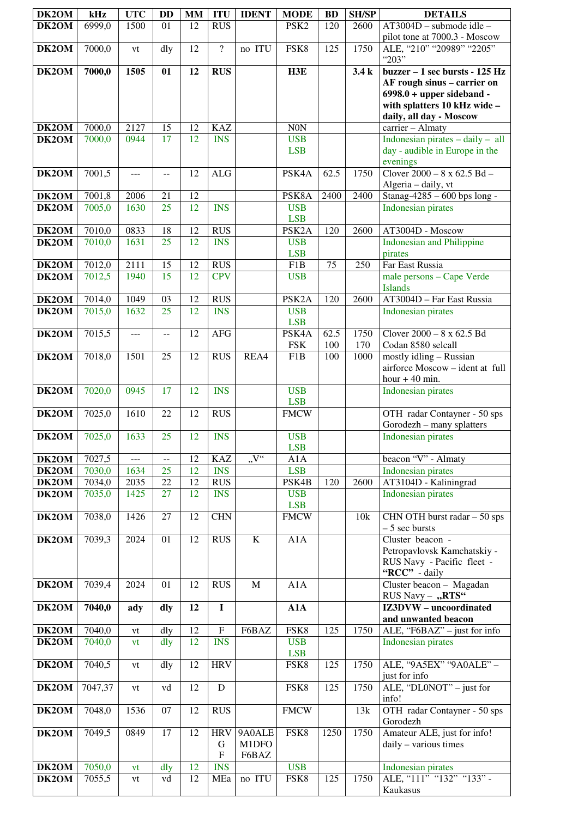| DK2OM                       | kHz              | <b>UTC</b>   | DD              | <b>MM</b> | <b>ITU</b>                                   | <b>IDENT</b>             | <b>MODE</b>                      | <b>BD</b>   | <b>SH/SP</b> | <b>DETAILS</b>                                                                                                                           |
|-----------------------------|------------------|--------------|-----------------|-----------|----------------------------------------------|--------------------------|----------------------------------|-------------|--------------|------------------------------------------------------------------------------------------------------------------------------------------|
| DK2OM                       | 6999,0           | 1500         | 01              | 12        | <b>RUS</b>                                   |                          | PSK <sub>2</sub>                 | 120         | 2600         | AT3004D - submode idle -                                                                                                                 |
| DK2OM                       | 7000,0           | vt           | dly             | 12        | $\overline{?}$                               | no ITU                   | FSK8                             | 125         | 1750         | pilot tone at 7000.3 - Moscow<br>ALE, "210" "20989" "2205"                                                                               |
| DK2OM                       | 7000,0           | 1505         | 01              | 12        | <b>RUS</b>                                   |                          | H3E                              |             | 3.4k         | " $203"$<br>buzzer - 1 sec bursts - 125 Hz<br>AF rough sinus - carrier on<br>$6998.0 + upper sideband -$<br>with splatters 10 kHz wide - |
| DK2OM                       | 7000,0           | 2127         | 15              | 12        | <b>KAZ</b>                                   |                          | <b>N0N</b>                       |             |              | daily, all day - Moscow<br>carrier - Almaty                                                                                              |
| DK2OM                       | 7000,0           | 0944         | 17              | 12        | <b>INS</b>                                   |                          | <b>USB</b><br><b>LSB</b>         |             |              | Indonesian pirates $-\frac{1}{2}$ all<br>day - audible in Europe in the<br>evenings                                                      |
| DK2OM                       | 7001,5           | ---          | $-$             | 12        | ALG                                          |                          | PSK4A                            | 62.5        | 1750         | Clover $2000 - 8 \times 62.5$ Bd $-$<br>Algeria - daily, vt                                                                              |
| DK2OM                       | 7001,8           | 2006         | 21              | 12        |                                              |                          | PSK8A                            | 2400        | 2400         | Stanag-4285 - 600 bps long -                                                                                                             |
| DK2OM                       | 7005,0           | 1630         | 25              | 12        | <b>INS</b>                                   |                          | <b>USB</b><br><b>LSB</b>         |             |              | <b>Indonesian pirates</b>                                                                                                                |
| DK <sub>2</sub> OM<br>DK2OM | 7010,0<br>7010,0 | 0833<br>1631 | 18<br>25        | 12<br>12  | <b>RUS</b><br><b>INS</b>                     |                          | PSK <sub>2</sub> A<br><b>USB</b> | 120         | 2600         | AT3004D - Moscow<br><b>Indonesian and Philippine</b>                                                                                     |
| DK2OM                       | 7012,0           | 2111         | 15              | 12        | <b>RUS</b>                                   |                          | <b>LSB</b><br>F <sub>1</sub> B   | 75          | 250          | pirates<br>Far East Russia                                                                                                               |
| DK2OM                       | 7012,5           | 1940         | 15              | 12        | <b>CPV</b>                                   |                          | <b>USB</b>                       |             |              | male persons - Cape Verde                                                                                                                |
|                             |                  |              |                 |           |                                              |                          |                                  |             |              | <b>Islands</b>                                                                                                                           |
| DK <sub>2</sub> OM<br>DK2OM | 7014,0<br>7015,0 | 1049<br>1632 | 03<br>25        | 12<br>12  | <b>RUS</b><br><b>INS</b>                     |                          | PSK <sub>2</sub> A<br><b>USB</b> | 120         | 2600         | AT3004D - Far East Russia<br><b>Indonesian pirates</b>                                                                                   |
|                             |                  |              |                 |           |                                              |                          | <b>LSB</b>                       |             |              |                                                                                                                                          |
| DK2OM                       | 7015,5           | $---$        | $\overline{a}$  | 12        | <b>AFG</b>                                   |                          | PSK4A<br><b>FSK</b>              | 62.5<br>100 | 1750<br>170  | Clover $2000 - 8 \times 62.5$ Bd<br>Codan 8580 selcall                                                                                   |
| DK2OM                       | 7018,0           | 1501         | 25              | 12        | <b>RUS</b>                                   | REA4                     | F1B                              | 100         | 1000         | mostly idling - Russian<br>airforce Moscow - ident at full<br>hour $+40$ min.                                                            |
| DK2OM                       | 7020,0           | 0945         | 17              | 12        | <b>INS</b>                                   |                          | <b>USB</b><br><b>LSB</b>         |             |              | Indonesian pirates                                                                                                                       |
| DK2OM                       | 7025,0           | 1610         | 22              | 12        | <b>RUS</b>                                   |                          | <b>FMCW</b>                      |             |              | OTH radar Contayner - 50 sps<br>Gorodezh - many splatters                                                                                |
| DK2OM                       | 7025,0           | 1633         | $\overline{25}$ | 12        | <b>INS</b>                                   |                          | <b>USB</b><br><b>LSB</b>         |             |              | Indonesian pirates                                                                                                                       |
| DK2OM                       | 7027,5           | ---          | $-$             | 12        | <b>KAZ</b>                                   | $W^4$                    | A1A                              |             |              | beacon "V" - Almaty                                                                                                                      |
| DK2OM<br>DK2OM              | 7030,0           | 1634         | 25<br>22        | 12<br>12  | <b>INS</b><br><b>RUS</b>                     |                          | <b>LSB</b><br>PSK4B              | 120         | 2600         | Indonesian pirates                                                                                                                       |
| DK2OM                       | 7034,0<br>7035,0 | 2035<br>1425 | 27              | 12        | <b>INS</b>                                   |                          | <b>USB</b><br><b>LSB</b>         |             |              | AT3104D - Kaliningrad<br>Indonesian pirates                                                                                              |
| DK2OM                       | 7038,0           | 1426         | 27              | 12        | <b>CHN</b>                                   |                          | <b>FMCW</b>                      |             | 10k          | CHN OTH burst radar - 50 sps<br>$-5$ sec bursts                                                                                          |
| DK2OM                       | 7039,3           | 2024         | 01              | 12        | <b>RUS</b>                                   | K                        | A1A                              |             |              | Cluster beacon -<br>Petropavlovsk Kamchatskiy -<br>RUS Navy - Pacific fleet -<br>"RCC" - daily                                           |
| DK2OM                       | 7039,4           | 2024         | 01              | 12        | <b>RUS</b>                                   | $\mathbf{M}$             | A1A                              |             |              | Cluster beacon - Magadan<br>RUS Navy - "RTS"                                                                                             |
| DK2OM                       | 7040,0           | ady          | dly             | 12        | $\bf{I}$                                     |                          | A1A                              |             |              | <b>IZ3DVW</b> – uncoordinated<br>and unwanted beacon                                                                                     |
| DK2OM                       | 7040,0           | vt           | dly             | 12        | ${\bf F}$                                    | F6BAZ                    | FSK8                             | 125         | 1750         | ALE, "F6BAZ" - just for info                                                                                                             |
| DK2OM                       | 7040,0           | vt           | dly             | 12        | <b>INS</b>                                   |                          | <b>USB</b><br><b>LSB</b>         |             |              | Indonesian pirates                                                                                                                       |
| DK2OM                       | 7040,5           | vt           | dly             | 12        | <b>HRV</b>                                   |                          | FSK <sub>8</sub>                 | 125         | 1750         | ALE, "9A5EX" "9A0ALE" -<br>just for info                                                                                                 |
| DK2OM                       | 7047,37          | vt           | vd              | 12        | $\mathbf D$                                  |                          | FSK8                             | 125         | 1750         | ALE, " $DLONOT"$ – just for<br>info!                                                                                                     |
| DK2OM                       | 7048,0           | 1536         | 07              | 12        | <b>RUS</b>                                   |                          | <b>FMCW</b>                      |             | 13k          | OTH radar Contayner - 50 sps<br>Gorodezh                                                                                                 |
| DK2OM                       | 7049,5           | 0849         | 17              | 12        | <b>HRV</b><br>G<br>$\boldsymbol{\mathrm{F}}$ | 9A0ALE<br>M1DFO<br>F6BAZ | FSK8                             | 1250        | 1750         | Amateur ALE, just for info!<br>daily - various times                                                                                     |
| DK2OM                       | 7050,0           | vt           | dly             | 12        | <b>INS</b>                                   |                          | <b>USB</b>                       |             |              | Indonesian pirates                                                                                                                       |
| DK2OM                       | 7055,5           | vt           | vd              | 12        | MEa                                          | no ITU                   | FSK8                             | 125         | 1750         | ALE, "111" "132" "133" -<br>Kaukasus                                                                                                     |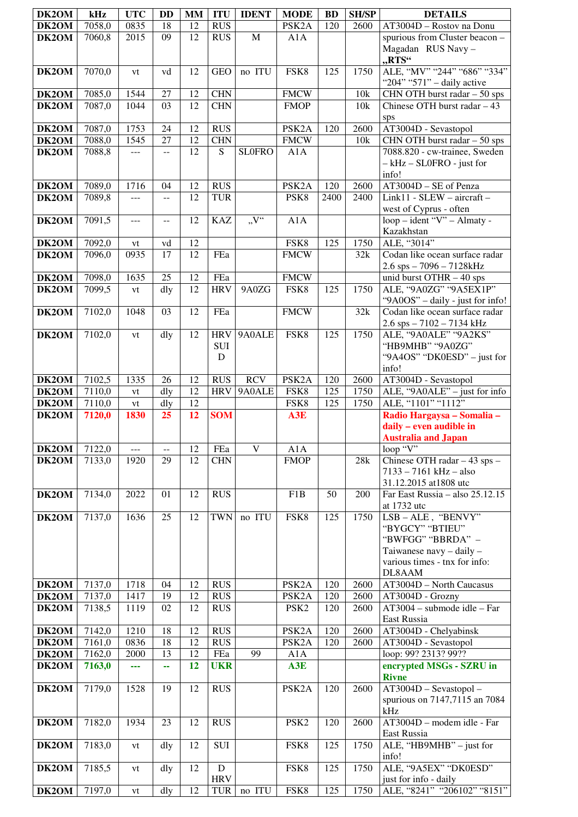| DK2OM                        | kHz              | <b>UTC</b>   | <b>DD</b>      | <b>MM</b> | <b>ITU</b>                    | <b>IDENT</b>            | <b>MODE</b>                              | <b>BD</b>  | <b>SH/SP</b> | <b>DETAILS</b>                                                                                                                  |
|------------------------------|------------------|--------------|----------------|-----------|-------------------------------|-------------------------|------------------------------------------|------------|--------------|---------------------------------------------------------------------------------------------------------------------------------|
| DK2OM                        | 7058,0           | 0835         | 18             | 12        | <b>RUS</b>                    |                         | PSK <sub>2</sub> A                       | 120        | 2600         | AT3004D - Rostov na Donu                                                                                                        |
| DK2OM                        | 7060,8           | 2015         | 09             | 12        | <b>RUS</b>                    | $\mathbf M$             | A1A                                      |            |              | spurious from Cluster beacon -<br>Magadan RUS Navy -<br>"RTS"                                                                   |
| DK2OM                        | 7070,0           | vt           | vd             | 12        | <b>GEO</b>                    | no ITU                  | FSK8                                     | 125        | 1750         | ALE, "MV" "244" "686" "334"<br>"204" "571" - daily active                                                                       |
| DK2OM                        | 7085,0           | 1544         | 27             | 12        | <b>CHN</b>                    |                         | <b>FMCW</b>                              |            | 10k          | CHN OTH burst radar - 50 sps                                                                                                    |
| DK2OM                        | 7087,0           | 1044         | 03             | 12        | <b>CHN</b>                    |                         | <b>FMOP</b>                              |            | 10k          | Chinese OTH burst radar $-43$                                                                                                   |
|                              |                  |              |                |           |                               |                         |                                          |            |              | sps                                                                                                                             |
| DK2OM                        | 7087,0           | 1753         | 24             | 12        | <b>RUS</b>                    |                         | PSK2A                                    | 120        | 2600         | AT3004D - Sevastopol                                                                                                            |
| DK2OM<br>DK2OM               | 7088,0<br>7088,8 | 1545<br>---  | 27<br>--       | 12<br>12  | <b>CHN</b><br>S               | <b>SLOFRO</b>           | <b>FMCW</b><br>A1A                       |            | 10k          | CHN OTH burst radar - 50 sps<br>7088.820 - cw-trainee, Sweden                                                                   |
|                              |                  |              |                |           |                               |                         |                                          |            |              | $- kHz - SL0FRO - just for$<br>info!                                                                                            |
| DK2OM                        | 7089,0           | 1716         | 04             | 12        | <b>RUS</b>                    |                         | PSK <sub>2</sub> A                       | 120        | 2600         | AT3004D - SE of Penza                                                                                                           |
| DK2OM                        | 7089,8           | ---          | --             | 12        | <b>TUR</b>                    |                         | PSK8                                     | 2400       | 2400         | Link11 - SLEW - aircraft -                                                                                                      |
| DK2OM                        | 7091,5           | ---          | $\overline{a}$ | 12        | <b>KAZ</b>                    | $\overline{V''}$        | A1A                                      |            |              | west of Cyprus - often<br>loop - ident "V" - Almaty -<br>Kazakhstan                                                             |
| DK2OM                        | 7092,0           | vt           | vd             | 12        |                               |                         | FSK8                                     | 125        | 1750         | ALE, "3014"                                                                                                                     |
| DK2OM                        | 7096,0           | 0935         | 17             | 12        | FEa                           |                         | <b>FMCW</b>                              |            | 32k          | Codan like ocean surface radar                                                                                                  |
|                              |                  |              |                |           |                               |                         |                                          |            |              | $2.6$ sps $-7096 - 7128$ kHz                                                                                                    |
| DK2OM                        | 7098,0           | 1635         | 25             | 12        | FEa                           |                         | <b>FMCW</b>                              |            |              | unid burst OTHR $-40$ sps                                                                                                       |
| DK2OM                        | 7099,5           | vt           | dly            | 12        | <b>HRV</b>                    | 9A0ZG                   | FSK8                                     | 125        | 1750         | ALE, "9A0ZG" "9A5EX1P"                                                                                                          |
|                              |                  |              |                |           |                               |                         |                                          |            |              | "9A0OS" - daily - just for info!                                                                                                |
| DK2OM                        | 7102,0           | 1048         | 03             | 12        | FEa                           |                         | <b>FMCW</b>                              |            | 32k          | Codan like ocean surface radar<br>$2.6$ sps $- 7102 - 7134$ kHz                                                                 |
| DK2OM                        | 7102,0           | vt           | dly            | 12        | <b>HRV</b><br><b>SUI</b><br>D | 9A0ALE                  | FSK8                                     | 125        | 1750         | ALE, "9A0ALE" "9A2KS"<br>"HB9MHB" "9A0ZG"<br>"9A4OS" "DK0ESD" - just for<br>info!                                               |
| DK2OM                        | 7102,5           | 1335         | 26             | 12        | <b>RUS</b>                    | <b>RCV</b>              | PSK <sub>2</sub> A                       | 120        | 2600         | AT3004D - Sevastopol                                                                                                            |
| DK2OM                        | 7110,0           | vt           | dly            | 12        | <b>HRV</b>                    | 9A0ALE                  | FSK8                                     | 125        | 1750         | ALE, "9A0ALE" - just for info                                                                                                   |
| DK2OM                        | 7110,0           | ${\it vt}$   | dly            | 12        |                               |                         | FSK8                                     | 125        | 1750         | ALE, "1101" "1112"                                                                                                              |
| DK2OM                        | 7120,0           | 1830         | 25             | 12        | <b>SOM</b>                    |                         | A3E                                      |            |              | Radio Hargaysa - Somalia -<br>daily - even audible in<br><b>Australia and Japan</b>                                             |
| DK2OM                        | 7122,0           | ---          | --             | 12        | FEa                           | $\overline{\mathbf{V}}$ | A1A                                      |            |              | loop "V"                                                                                                                        |
| DK2OM                        | 7133,0           | 1920         | 29             | 12        | <b>CHN</b>                    |                         | <b>FMOP</b>                              |            | 28k          | Chinese OTH radar - 43 sps -<br>$7133 - 7161$ kHz - also                                                                        |
| DK2OM                        | 7134,0           | 2022         | 01             | 12        | <b>RUS</b>                    |                         | F <sub>1</sub> B                         | 50         | 200          | 31.12.2015 at 1808 utc<br>Far East Russia - also 25.12.15                                                                       |
|                              |                  |              |                |           |                               |                         |                                          |            |              | at 1732 utc                                                                                                                     |
| DK2OM                        | 7137,0           | 1636         | 25             | 12        | <b>TWN</b>                    | no ITU                  | FSK8                                     | 125        | 1750         | LSB-ALE, "BENVY"<br>"BYGCY" "BTIEU"<br>"BWFGG" "BBRDA" -<br>Taiwanese navy - daily -<br>various times - tnx for info:<br>DL8AAM |
| DK2OM                        | 7137,0           | 1718         | 04             | 12        | <b>RUS</b>                    |                         | PSK <sub>2</sub> A                       | 120        | 2600         | AT3004D - North Caucasus                                                                                                        |
| DK2OM<br>DK2OM               | 7137,0<br>7138,5 | 1417<br>1119 | 19<br>02       | 12<br>12  | <b>RUS</b><br><b>RUS</b>      |                         | PSK <sub>2</sub> A<br>PSK <sub>2</sub>   | 120<br>120 | 2600<br>2600 | AT3004D - Grozny<br>AT3004 - submode idle - Far                                                                                 |
|                              |                  |              |                |           |                               |                         |                                          |            |              | East Russia                                                                                                                     |
| DK2OM                        | 7142,0           | 1210<br>0836 | 18<br>18       | 12<br>12  | <b>RUS</b><br><b>RUS</b>      |                         | PSK <sub>2</sub> A<br>PSK <sub>2</sub> A | 120<br>120 | 2600<br>2600 | AT3004D - Chelyabinsk                                                                                                           |
| <b>DK2OM</b><br><b>DK2OM</b> | 7161,0<br>7162,0 | 2000         | 13             | 12        | FEa                           | 99                      | A1A                                      |            |              | AT3004D - Sevastopol<br>loop: 99? 2313? 99??                                                                                    |
| DK2OM                        | 7163,0           |              | 44             | 12        | <b>UKR</b>                    |                         | A3E                                      |            |              | encrypted MSGs - SZRU in                                                                                                        |
|                              |                  |              |                |           |                               |                         |                                          |            |              | <b>Rivne</b>                                                                                                                    |
| DK2OM                        | 7179,0           | 1528         | 19             | 12        | <b>RUS</b>                    |                         | PSK <sub>2</sub> A                       | 120        | 2600         | AT3004D - Sevastopol -<br>spurious on 7147,7115 an 7084<br>kHz                                                                  |
| DK2OM                        | 7182,0           | 1934         | 23             | 12        | <b>RUS</b>                    |                         | PSK <sub>2</sub>                         | 120        | 2600         | AT3004D - modem idle - Far<br>East Russia                                                                                       |
| DK2OM                        | 7183,0           | vt           | dly            | 12        | <b>SUI</b>                    |                         | FSK8                                     | 125        | 1750         | ALE, "HB9MHB" - just for<br>info!                                                                                               |
| DK2OM                        | 7185,5           | vt           | dly            | 12        | ${\bf D}$<br><b>HRV</b>       |                         | FSK8                                     | 125        | 1750         | ALE, "9A5EX" "DK0ESD"<br>just for info - daily                                                                                  |
| DK2OM                        | 7197,0           | vt           | dly            | 12        | <b>TUR</b>                    | no ITU                  | FSK8                                     | 125        | 1750         | ALE, "8241" "206102" "8151"                                                                                                     |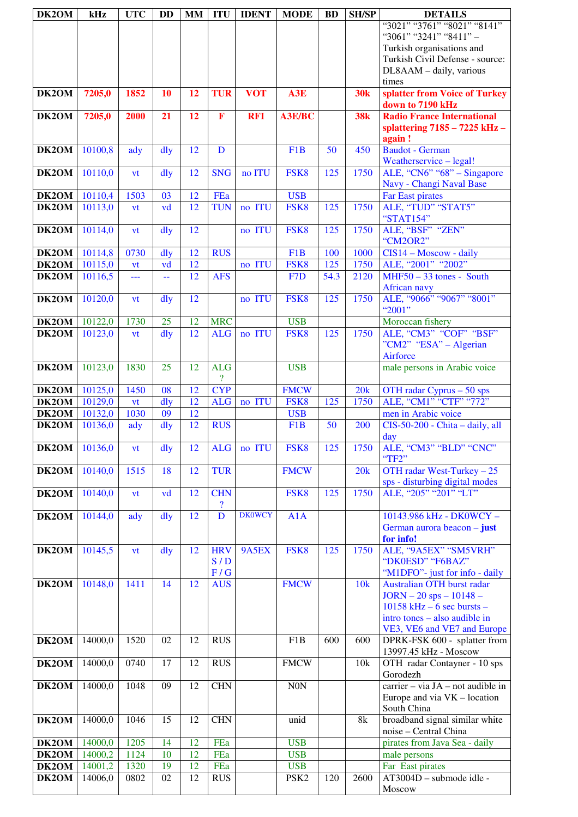| DK2OM | kHz     | <b>UTC</b> | <b>DD</b>       | <b>MM</b>       | <b>ITU</b>               | <b>IDENT</b>  | <b>MODE</b>      | <b>BD</b>       | <b>SH/SP</b> | <b>DETAILS</b>                                     |
|-------|---------|------------|-----------------|-----------------|--------------------------|---------------|------------------|-----------------|--------------|----------------------------------------------------|
|       |         |            |                 |                 |                          |               |                  |                 |              | "3021" "3761" "8021" "8141"                        |
|       |         |            |                 |                 |                          |               |                  |                 |              | "3061" "3241" "8411" -                             |
|       |         |            |                 |                 |                          |               |                  |                 |              | Turkish organisations and                          |
|       |         |            |                 |                 |                          |               |                  |                 |              | Turkish Civil Defense - source:                    |
|       |         |            |                 |                 |                          |               |                  |                 |              | DL8AAM - daily, various                            |
|       |         |            |                 |                 |                          |               |                  |                 |              | times                                              |
| DK2OM | 7205,0  | 1852       | 10              | 12              | <b>TUR</b>               | <b>VOT</b>    | A3E              |                 | <b>30k</b>   | splatter from Voice of Turkey                      |
|       |         |            |                 |                 |                          |               |                  |                 |              | down to 7190 kHz                                   |
| DK2OM | 7205,0  | 2000       | 21              | 12              | $\mathbf F$              | <b>RFI</b>    | <b>A3E/BC</b>    |                 | <b>38k</b>   | <b>Radio France International</b>                  |
|       |         |            |                 |                 |                          |               |                  |                 |              | splattering 7185 - 7225 kHz -<br>again!            |
| DK2OM | 10100,8 | ady        | dly             | 12              | D                        |               | F <sub>1</sub> B | $\overline{50}$ | 450          | <b>Baudot</b> - German                             |
|       |         |            |                 |                 |                          |               |                  |                 |              | Weatherservice - legal!                            |
| DK2OM | 10110,0 | vt         | dly             | 12              | <b>SNG</b>               | no ITU        | FSK8             | 125             | 1750         | ALE, "CN6" "68" - Singapore                        |
|       |         |            |                 |                 |                          |               |                  |                 |              | Navy - Changi Naval Base                           |
| DK2OM | 10110,4 | 1503       | 03              | 12              | FEa                      |               | <b>USB</b>       |                 |              | <b>Far East pirates</b>                            |
| DK2OM | 10113,0 | vt         | vd              | 12              | <b>TUN</b>               | no ITU        | FSK8             | 125             | 1750         | ALE, "TUD" "STAT5"                                 |
|       |         |            |                 |                 |                          |               |                  |                 |              | "STAT154"                                          |
| DK2OM | 10114,0 | vt         | dly             | $\overline{12}$ |                          | no ITU        | FSK8             | 125             | 1750         | ALE, "BSF" "ZEN"                                   |
| DK2OM | 10114,8 | 0730       | dly             | 12              | <b>RUS</b>               |               | F1B              | 100             | 1000         | "CM2OR2"<br>CIS14 - Moscow - daily                 |
| DK2OM | 10115,0 | vt         | vd              | $\overline{12}$ |                          | no ITU        | FSK8             | 125             | 1750         | ALE, "2001" "2002"                                 |
| DK2OM | 10116,5 | ---        | --              | 12              | <b>AFS</b>               |               | F7D              | 54.3            | 2120         | $MHF50 - 33$ tones - South                         |
|       |         |            |                 |                 |                          |               |                  |                 |              | <b>African navy</b>                                |
| DK2OM | 10120,0 | vt         | dly             | 12              |                          | no ITU        | FSK8             | 125             | 1750         | ALE, "9066" "9067" "8001"                          |
|       |         |            |                 |                 |                          |               |                  |                 |              | "2001"                                             |
| DK2OM | 10122,0 | 1730       | $\overline{25}$ | 12              | <b>MRC</b>               |               | <b>USB</b>       |                 |              | Moroccan fishery                                   |
| DK2OM | 10123,0 | vt         | dly             | 12              | <b>ALG</b>               | no ITU        | FSK8             | 125             | 1750         | ALE, "CM3" "COF" "BSF"                             |
|       |         |            |                 |                 |                          |               |                  |                 |              | "CM2" "ESA" - Algerian                             |
|       |         |            |                 |                 | <b>ALG</b>               |               | <b>USB</b>       |                 |              | Airforce                                           |
| DK2OM | 10123,0 | 1830       | 25              | 12              | $\overline{\mathcal{L}}$ |               |                  |                 |              | male persons in Arabic voice                       |
| DK2OM | 10125,0 | 1450       | 08              | 12              | <b>CYP</b>               |               | <b>FMCW</b>      |                 | 20k          | OTH radar Cyprus $-50$ sps                         |
| DK2OM | 10129,0 | vt         | dlv             | 12              | <b>ALG</b>               | no ITU        | FSK8             | 125             | 1750         | ALE, "CM1" "CTF" "772"                             |
| DK2OM | 10132,0 | 1030       | 09              | 12              |                          |               | <b>USB</b>       |                 |              | men in Arabic voice                                |
| DK2OM | 10136,0 | ady        | dly             | 12              | <b>RUS</b>               |               | F <sub>1</sub> B | 50              | 200          | CIS-50-200 - Chita - daily, all                    |
|       |         |            |                 |                 |                          |               |                  |                 |              | day                                                |
| DK2OM | 10136,0 | vt         | dly             | 12              | <b>ALG</b>               | no ITU        | FSK8             | 125             | 1750         | ALE, "CM3" "BLD" "CNC"                             |
| DK2OM | 10140,0 | 1515       | 18              | 12              | <b>TUR</b>               |               | <b>FMCW</b>      |                 | 20k          | "TF2"<br>OTH radar West-Turkey - 25                |
|       |         |            |                 |                 |                          |               |                  |                 |              | sps - disturbing digital modes                     |
| DK2OM | 10140,0 | vt         | vd              | 12              | <b>CHN</b>               |               | FSK8             | 125             | 1750         | ALE, "205" "201" "LT"                              |
|       |         |            |                 |                 | $\overline{\mathcal{L}}$ |               |                  |                 |              |                                                    |
| DK2OM | 10144,0 | ady        | dly             | 12              | $\overline{D}$           | <b>DK0WCY</b> | A1A              |                 |              | 10143.986 kHz - DK0WCY -                           |
|       |         |            |                 |                 |                          |               |                  |                 |              | German aurora beacon - just                        |
|       |         |            |                 |                 |                          |               |                  |                 |              | for info!                                          |
| DK2OM | 10145,5 | vt         | $\frac{d}{dy}$  | 12              | <b>HRV</b>               | 9A5EX         | FSK8             | 125             | 1750         | ALE, "9A5EX" "SM5VRH"                              |
|       |         |            |                 |                 | S/D<br>F/G               |               |                  |                 |              | "DK0ESD" "F6BAZ"<br>"M1DFO"- just for info - daily |
| DK2OM | 10148,0 | 1411       | 14              | 12              | <b>AUS</b>               |               | <b>FMCW</b>      |                 | 10k          | Australian OTH burst radar                         |
|       |         |            |                 |                 |                          |               |                  |                 |              | $JORN - 20$ sps $- 10148 -$                        |
|       |         |            |                 |                 |                          |               |                  |                 |              | $10158$ kHz – 6 sec bursts –                       |
|       |         |            |                 |                 |                          |               |                  |                 |              | intro tones - also audible in                      |
|       |         |            |                 |                 |                          |               |                  |                 |              | VE3, VE6 and VE7 and Europe                        |
| DK2OM | 14000,0 | 1520       | 02              | 12              | <b>RUS</b>               |               | F <sub>1</sub> B | 600             | 600          | DPRK-FSK 600 - splatter from                       |
|       | 14000,0 | 0740       | 17              | 12              | <b>RUS</b>               |               | <b>FMCW</b>      |                 | 10k          | 13997.45 kHz - Moscow                              |
| DK2OM |         |            |                 |                 |                          |               |                  |                 |              | OTH radar Contayner - 10 sps<br>Gorodezh           |
| DK2OM | 14000,0 | 1048       | 09              | 12              | <b>CHN</b>               |               | <b>N0N</b>       |                 |              | carrier – via JA – not audible in                  |
|       |         |            |                 |                 |                          |               |                  |                 |              | Europe and via VK - location                       |
|       |         |            |                 |                 |                          |               |                  |                 |              | South China                                        |
| DK2OM | 14000,0 | 1046       | 15              | 12              | <b>CHN</b>               |               | unid             |                 | 8k           | broadband signal similar white                     |
|       |         |            |                 |                 |                          |               |                  |                 |              | noise - Central China                              |
| DK2OM | 14000,0 | 1205       | 14              | 12              | FEa                      |               | <b>USB</b>       |                 |              | pirates from Java Sea - daily                      |
| DK2OM | 14000,2 | 1124       | 10              | $\overline{12}$ | FEa                      |               | <b>USB</b>       |                 |              | male persons                                       |
| DK2OM | 14001,2 | 1320       | 19<br>02        | 12<br>12        | FEa                      |               | <b>USB</b>       |                 | 2600         | Far East pirates<br>AT3004D - submode idle -       |
| DK2OM | 14006,0 | 0802       |                 |                 | <b>RUS</b>               |               | PSK <sub>2</sub> | 120             |              | Moscow                                             |
|       |         |            |                 |                 |                          |               |                  |                 |              |                                                    |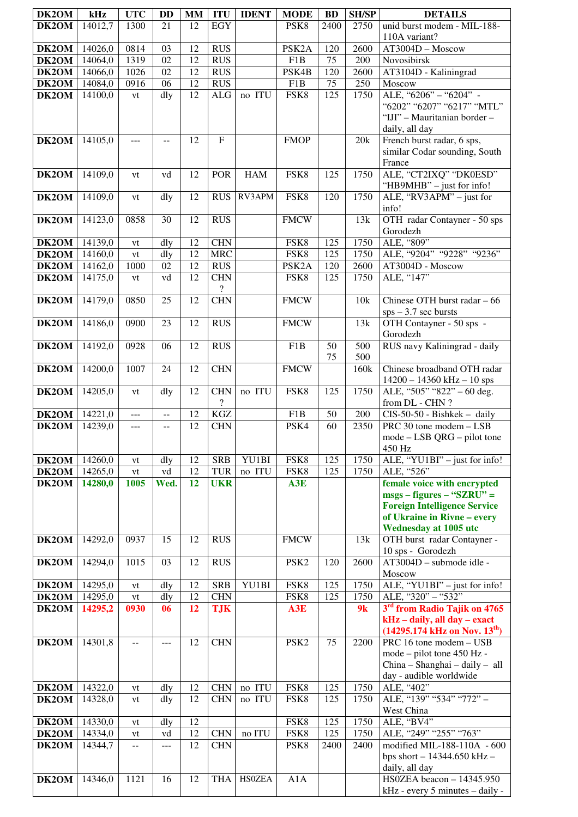| DK2OM          | kHz                | <b>UTC</b>     | <b>DD</b>                | <b>MM</b>       | <b>ITU</b>                             | <b>IDENT</b>  | <b>MODE</b>        | <b>BD</b>  | <b>SH/SP</b>     | <b>DETAILS</b>                                            |
|----------------|--------------------|----------------|--------------------------|-----------------|----------------------------------------|---------------|--------------------|------------|------------------|-----------------------------------------------------------|
| DK2OM          | 14012,7            | 1300           | 21                       | 12              | <b>EGY</b>                             |               | PSK8               | 2400       | 2750             | unid burst modem - MIL-188-                               |
|                |                    |                |                          |                 |                                        |               |                    |            |                  | 110A variant?                                             |
| DK2OM          | 14026,0            | 0814           | 03                       | 12              | <b>RUS</b>                             |               | PSK <sub>2</sub> A | 120        | 2600             | AT3004D - Moscow                                          |
| DK2OM          | 14064,0            | 1319           | 02                       | 12              | <b>RUS</b>                             |               | F1B                | 75         | 200              | Novosibirsk                                               |
| DK2OM          | 14066,0            | 1026           | 02                       | 12              | <b>RUS</b>                             |               | PSK4B              | 120        | 2600             | AT3104D - Kaliningrad                                     |
| DK2OM          | 14084,0            | 0916           | 06                       | 12              | <b>RUS</b>                             |               | F1B                | 75         | 250              | Moscow                                                    |
| DK2OM          | 14100,0            | vt             | dly                      | 12              | ALG                                    | no ITU        | FSK8               | 125        | 1750             | ALE, "6206" - "6204" -<br>"6202" "6207" "6217" "MTL"      |
|                |                    |                |                          |                 |                                        |               |                    |            |                  | "IJI" - Mauritanian border -                              |
|                |                    |                |                          |                 |                                        |               |                    |            |                  | daily, all day                                            |
| DK2OM          | 14105,0            | $---$          | --                       | 12              | $\mathbf{F}$                           |               | <b>FMOP</b>        |            | 20k              | French burst radar, 6 sps,                                |
|                |                    |                |                          |                 |                                        |               |                    |            |                  | similar Codar sounding, South                             |
|                |                    |                |                          |                 |                                        |               |                    |            |                  | France                                                    |
| DK2OM          | 14109,0            | vt             | vd                       | 12              | <b>POR</b>                             | <b>HAM</b>    | FSK8               | 125        | 1750             | ALE, "CT2IXQ" "DK0ESD"                                    |
|                |                    |                |                          |                 |                                        | RV3APM        |                    |            | 1750             | "HB9MHB" - just for info!<br>ALE, "RV3APM" - just for     |
| DK2OM          | 14109,0            | vt             | dly                      | 12              | <b>RUS</b>                             |               | FSK8               | 120        |                  | info!                                                     |
| DK2OM          | 14123,0            | 0858           | 30                       | 12              | <b>RUS</b>                             |               | <b>FMCW</b>        |            | 13k              | OTH radar Contayner - 50 sps                              |
|                |                    |                |                          |                 |                                        |               |                    |            |                  | Gorodezh                                                  |
| DK2OM          | 14139,0            | vt             | dly                      | 12              | <b>CHN</b>                             |               | FSK8               | 125        | 1750             | ALE, "809"                                                |
| DK2OM          | 14160,0            | vt             | dly                      | 12              | <b>MRC</b>                             |               | FSK8               | 125        | 1750             | ALE, "9204" "9228" "9236"                                 |
| DK2OM          | 14162,0            | 1000           | 02                       | 12              | <b>RUS</b>                             |               | PSK <sub>2</sub> A | 120        | 2600             | AT3004D - Moscow                                          |
| DK2OM          | 14175,0            | vt             | vd                       | 12              | <b>CHN</b><br>$\overline{\mathcal{E}}$ |               | FSK8               | 125        | 1750             | ALE, "147"                                                |
| DK2OM          | 14179,0            | 0850           | 25                       | 12              | <b>CHN</b>                             |               | <b>FMCW</b>        |            | 10k              | Chinese OTH burst radar - 66                              |
|                |                    |                |                          |                 |                                        |               |                    |            |                  | $sps - 3.7$ sec bursts                                    |
| DK2OM          | 14186,0            | 0900           | 23                       | 12              | <b>RUS</b>                             |               | <b>FMCW</b>        |            | 13k              | OTH Contayner - 50 sps -                                  |
|                |                    |                |                          |                 |                                        |               |                    |            |                  | Gorodezh                                                  |
| DK2OM          | 14192,0            | 0928           | 06                       | 12              | <b>RUS</b>                             |               | F <sub>1</sub> B   | 50         | $\overline{500}$ | RUS navy Kaliningrad - daily                              |
| DK2OM          | 14200,0            | 1007           | 24                       | 12              | <b>CHN</b>                             |               | <b>FMCW</b>        | 75         | 500<br>160k      | Chinese broadband OTH radar                               |
|                |                    |                |                          |                 |                                        |               |                    |            |                  | $14200 - 14360$ kHz - 10 sps                              |
| DK2OM          | 14205,0            | vt             | $\overline{d}$ ly        | 12              | <b>CHN</b>                             | no ITU        | FSK8               | 125        | 1750             | ALE, "505" "822" - 60 deg.                                |
|                |                    |                |                          |                 | $\overline{?}$                         |               |                    |            |                  | from DL - CHN?                                            |
| DK2OM          | 14221,0            | ---            | $\overline{\phantom{a}}$ | 12              | <b>KGZ</b>                             |               | F <sub>1</sub> B   | 50         | 200              | CIS-50-50 - Bishkek - daily                               |
| DK2OM          | 14239,0            | $- - -$        | $\overline{a}$           | $\overline{12}$ | <b>CHN</b>                             |               | PSK4               | 60         | 2350             | PRC 30 tone modem - LSB                                   |
|                |                    |                |                          |                 |                                        |               |                    |            |                  | $mode - LSB QRG - pilot tone$<br>450 Hz                   |
| DK2OM          | 14260,0            | vt             | dly                      | 12              | <b>SRB</b>                             | YU1BI         | FSK8               | 125        | 1750             | ALE, "YU1BI" - just for info!                             |
| DK2OM          | 14265,0            | vt             | vd                       | 12              | <b>TUR</b>                             | no ITU        | FSK8               | 125        | 1750             | ALE, "526"                                                |
| DK2OM          | 14280,0            | 1005           | Wed.                     | 12              | <b>UKR</b>                             |               | A3E                |            |                  | female voice with encrypted                               |
|                |                    |                |                          |                 |                                        |               |                    |            |                  | $msgs - figures - "SZRU" =$                               |
|                |                    |                |                          |                 |                                        |               |                    |            |                  | <b>Foreign Intelligence Service</b>                       |
|                |                    |                |                          |                 |                                        |               |                    |            |                  | of Ukraine in Rivne - every<br>Wednesday at 1005 utc      |
| DK2OM          | 14292,0            | 0937           | 15                       | 12              | <b>RUS</b>                             |               | <b>FMCW</b>        |            | 13k              | OTH burst radar Contayner -                               |
|                |                    |                |                          |                 |                                        |               |                    |            |                  | 10 sps - Gorodezh                                         |
| DK2OM          | 14294,0            | 1015           | 03                       | 12              | <b>RUS</b>                             |               | PSK <sub>2</sub>   | 120        | 2600             | AT3004D - submode idle -                                  |
|                |                    |                |                          |                 |                                        |               |                    |            |                  | Moscow                                                    |
| DK2OM<br>DK2OM | 14295,0<br>14295,0 | vt<br>vt       | dly<br>dly               | 12<br>12        | <b>SRB</b><br><b>CHN</b>               | YU1BI         | FSK8<br>FSK8       | 125<br>125 | 1750<br>1750     | ALE, "YU1BI" - just for info!<br>ALE, "320" - "532"       |
| DK2OM          | 14295,2            | 0930           | 06                       | 12              | <b>TJK</b>                             |               | A3E                |            | 9k               | 3rd from Radio Tajik on 4765                              |
|                |                    |                |                          |                 |                                        |               |                    |            |                  | kHz - daily, all day - exact                              |
|                |                    |                |                          |                 |                                        |               |                    |            |                  | $(14295.174 \text{ kHz on Nov. } 13^{\text{th}})$         |
| DK2OM          | 14301,8            | $- -$          | ---                      | 12              | <b>CHN</b>                             |               | PSK <sub>2</sub>   | 75         | 2200             | PRC 16 tone modem - USB                                   |
|                |                    |                |                          |                 |                                        |               |                    |            |                  | mode – pilot tone 450 Hz -                                |
|                |                    |                |                          |                 |                                        |               |                    |            |                  | China - Shanghai - daily - all<br>day - audible worldwide |
| DK2OM          | 14322,0            | vt             | dly                      | 12              | <b>CHN</b>                             | no ITU        | FSK8               | 125        | 1750             | ALE, "402"                                                |
| DK2OM          | 14328,0            | vt             | dly                      | 12              | <b>CHN</b>                             | no ITU        | FSK8               | 125        | 1750             | ALE, "139" "534" "772" -                                  |
|                |                    |                |                          |                 |                                        |               |                    |            |                  | West China                                                |
| DK2OM          | 14330,0            | vt             | dly                      | 12              |                                        |               | FSK8               | 125        | 1750             | ALE, "BV4"                                                |
| DK2OM          | 14334,0            | vt             | vd                       | 12              | <b>CHN</b>                             | no ITU        | FSK8               | 125        | 1750             | ALE, "249" "255" "763"                                    |
| DK2OM          | 14344,7            | $\overline{a}$ | $---$                    | 12              | <b>CHN</b>                             |               | PSK8               | 2400       | 2400             | modified MIL-188-110A - 600                               |
|                |                    |                |                          |                 |                                        |               |                    |            |                  | bps short $- 14344.650$ kHz $-$<br>daily, all day         |
| DK2OM          | 14346,0            | 1121           | 16                       | 12              | <b>THA</b>                             | <b>HSOZEA</b> | A1A                |            |                  | HS0ZEA beacon - 14345.950                                 |
|                |                    |                |                          |                 |                                        |               |                    |            |                  | kHz - every 5 minutes - daily -                           |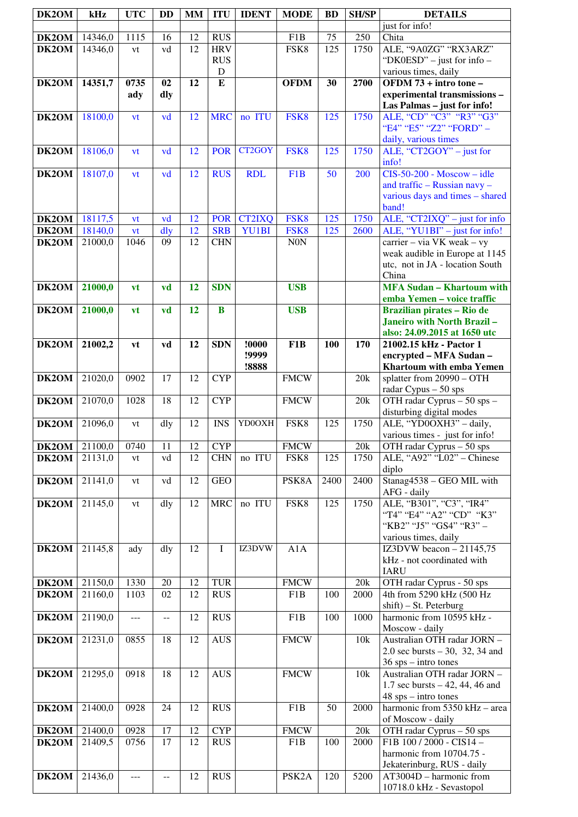| DK2OM | kHz     | <b>UTC</b>  | <b>DD</b>      | <b>MM</b> | <b>ITU</b>  | <b>IDENT</b>   | <b>MODE</b>        | <b>BD</b> | <b>SH/SP</b> | <b>DETAILS</b>                                                                                           |
|-------|---------|-------------|----------------|-----------|-------------|----------------|--------------------|-----------|--------------|----------------------------------------------------------------------------------------------------------|
| DK2OM | 14346,0 | 1115        | 16             | 12        | <b>RUS</b>  |                | F <sub>1</sub> B   | 75        | 250          | just for info!<br>Chita                                                                                  |
| DK2OM | 14346,0 | vt          | vd             | 12        | <b>HRV</b>  |                | FSK8               | 125       | 1750         | ALE, "9A0ZG" "RX3ARZ"                                                                                    |
|       |         |             |                |           | <b>RUS</b>  |                |                    |           |              | "DK0ESD" – just for info –                                                                               |
|       |         |             |                |           | $\mathbf D$ |                |                    |           |              | various times, daily                                                                                     |
| DK2OM | 14351,7 | 0735<br>ady | 02<br>dly      | 12        | ${\bf E}$   |                | <b>OFDM</b>        | 30        | 2700         | OFDM 73 + intro tone -<br>experimental transmissions -<br>Las Palmas - just for info!                    |
| DK2OM | 18100,0 | vt          | vd             | 12        | <b>MRC</b>  | no ITU         | FSK8               | 125       | 1750         | ALE, "CD" "C3" "R3" "G3"<br>"E4" "E5" "Z2" "FORD" -<br>daily, various times                              |
| DK2OM | 18106,0 | vt          | vd             | 12        | <b>POR</b>  | CT2GOY         | FSK8               | 125       | 1750         | ALE, "CT2GOY" $-$ just for<br>info!                                                                      |
| DK2OM | 18107,0 | vt          | vd             | 12        | <b>RUS</b>  | <b>RDL</b>     | F <sub>1</sub> B   | 50        | 200          | $CIS-50-200$ - Moscow - idle<br>and traffic - Russian navy -<br>various days and times - shared<br>band! |
| DK2OM | 18117,5 | vt          | vd             | 12        | <b>POR</b>  | <b>CT2IXQ</b>  | FSK8               | 125       | 1750         | ALE, "CT2IXQ" - just for info                                                                            |
| DK2OM | 18140,0 | vt          | dly            | 12        | <b>SRB</b>  | YU1BI          | FSK8               | 125       | 2600         | ALE, "YU1BI" - just for info!                                                                            |
| DK2OM | 21000,0 | 1046        | 09             | 12        | <b>CHN</b>  |                | <b>N0N</b>         |           |              | carrier - via VK weak - vy<br>weak audible in Europe at 1145<br>utc, not in JA - location South<br>China |
| DK2OM | 21000,0 | vt          | vd             | 12        | <b>SDN</b>  |                | <b>USB</b>         |           |              | <b>MFA Sudan - Khartoum with</b><br>emba Yemen - voice traffic                                           |
| DK2OM | 21000,0 | vt          | vd             | 12        | $\bf{B}$    |                | <b>USB</b>         |           |              | Brazilian pirates - Rio de                                                                               |
|       |         |             |                |           |             |                |                    |           |              | Janeiro with North Brazil-<br>also: 24.09.2015 at 1650 utc                                               |
| DK2OM | 21002,2 | vt          | vd             | 12        | <b>SDN</b>  | !0000          | F <sub>1</sub> B   | 100       | 170          | 21002.15 kHz - Pactor 1                                                                                  |
|       |         |             |                |           |             | !9999<br>!8888 |                    |           |              | encrypted - MFA Sudan -<br>Khartoum with emba Yemen                                                      |
| DK2OM | 21020,0 | 0902        | 17             | 12        | <b>CYP</b>  |                | <b>FMCW</b>        |           | 20k          | splatter from 20990 - OTH<br>radar Cypus - 50 sps                                                        |
| DK2OM | 21070,0 | 1028        | 18             | 12        | <b>CYP</b>  |                | <b>FMCW</b>        |           | 20k          | OTH radar Cyprus - 50 sps -<br>disturbing digital modes                                                  |
| DK2OM | 21096,0 | vt          | dly            | 12        | <b>INS</b>  | YD0OXH         | FSK8               | 125       | 1750         | ALE, "YD0OXH3" - daily,<br>various times - just for info!                                                |
| DK2OM | 21100,0 | 0740        | 11             | 12        | <b>CYP</b>  |                | <b>FMCW</b>        |           | 20k          | OTH radar Cyprus $-50$ sps                                                                               |
| DK2OM | 21131,0 | vt          | vd             | 12        | <b>CHN</b>  | no ITU         | FSK8               | 125       | 1750         | ALE, "A92" "L02" - Chinese<br>diplo                                                                      |
| DK2OM | 21141,0 | vt          | vd             | 12        | <b>GEO</b>  |                | PSK8A              | 2400      | 2400         | Stanag4538 - GEO MIL with<br>AFG - daily                                                                 |
| DK2OM | 21145,0 | vt          | dly            | 12        | <b>MRC</b>  | no ITU         | FSK8               | 125       | 1750         | ALE, "B301", "C3", "IR4"<br>"T4" "E4" "A2" "CD" "K3"<br>"KB2" "J5" "GS4" "R3" -<br>various times, daily  |
| DK2OM | 21145,8 | ady         | dly            | 12        | $\mathbf I$ | IZ3DVW         | A1A                |           |              | IZ3DVW beacon $-21\overline{145,75}$<br>kHz - not coordinated with<br><b>IARU</b>                        |
| DK2OM | 21150,0 | 1330        | 20             | 12        | <b>TUR</b>  |                | <b>FMCW</b>        |           | 20k          | OTH radar Cyprus - 50 sps                                                                                |
| DK2OM | 21160,0 | 1103        | 02             | 12        | <b>RUS</b>  |                | F1B                | 100       | 2000         | 4th from 5290 kHz (500 Hz<br>shift) - St. Peterburg                                                      |
| DK2OM | 21190,0 | $---$       | $\overline{a}$ | 12        | <b>RUS</b>  |                | F <sub>1</sub> B   | 100       | 1000         | harmonic from 10595 kHz -<br>Moscow - daily                                                              |
| DK2OM | 21231,0 | 0855        | 18             | 12        | <b>AUS</b>  |                | <b>FMCW</b>        |           | 10k          | Australian OTH radar JORN -<br>2.0 sec bursts $-30$ , 32, 34 and<br>$36$ sps – intro tones               |
| DK2OM | 21295,0 | 0918        | 18             | 12        | <b>AUS</b>  |                | <b>FMCW</b>        |           | 10k          | Australian OTH radar JORN -<br>1.7 sec bursts $-42$ , 44, 46 and<br>$48$ sps – intro tones               |
| DK2OM | 21400,0 | 0928        | 24             | 12        | <b>RUS</b>  |                | F1B                | 50        | 2000         | harmonic from 5350 kHz - area<br>of Moscow - daily                                                       |
| DK2OM | 21400,0 | 0928        | 17             | 12        | <b>CYP</b>  |                | <b>FMCW</b>        |           | $20k$        | OTH radar Cyprus - 50 sps                                                                                |
| DK2OM | 21409,5 | 0756        | 17             | 12        | <b>RUS</b>  |                | F1B                | 100       | 2000         | F1B 100 / 2000 - CIS14 -<br>harmonic from 10704.75 -<br>Jekaterinburg, RUS - daily                       |
| DK2OM | 21436,0 | ---         | $-$            | 12        | <b>RUS</b>  |                | PSK <sub>2</sub> A | 120       | 5200         | $AT3004D - harmonic from$<br>10718.0 kHz - Sevastopol                                                    |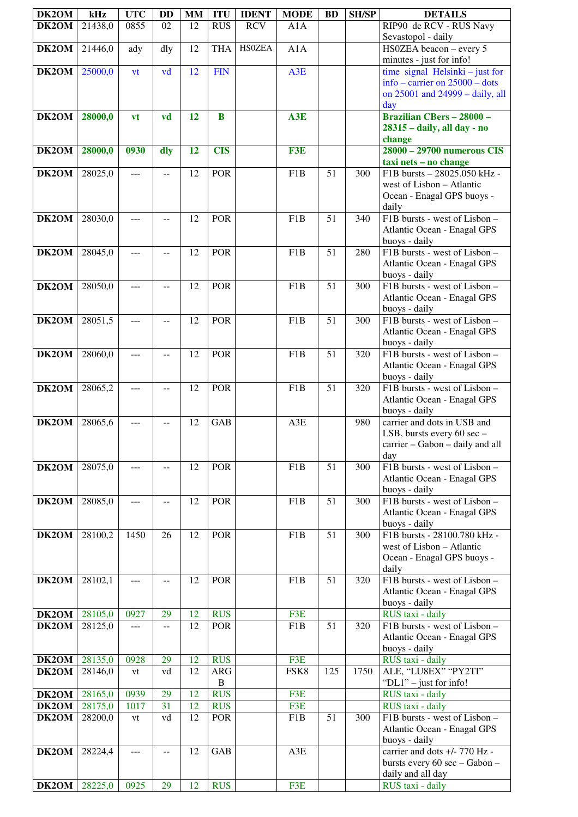| DK2OM          | kHz                | <b>UTC</b>  | <b>DD</b> | <b>MM</b> | <b>ITU</b>                                  | <b>IDENT</b>  | <b>MODE</b>      | <b>BD</b>       | <b>SH/SP</b> | <b>DETAILS</b>                                               |
|----------------|--------------------|-------------|-----------|-----------|---------------------------------------------|---------------|------------------|-----------------|--------------|--------------------------------------------------------------|
| DK2OM          | 21438,0            | 0855        | 02        | 12        | <b>RUS</b>                                  | <b>RCV</b>    | A1A              |                 |              | RIP90 de RCV - RUS Navy                                      |
|                |                    |             |           | 12        |                                             | <b>HSOZEA</b> |                  |                 |              | Sevastopol - daily                                           |
| DK2OM          | 21446,0            | ady         | dly       |           | <b>THA</b>                                  |               | A1A              |                 |              | HS0ZEA beacon - every 5<br>minutes - just for info!          |
| DK2OM          | 25000,0            | vt          | vd        | 12        | <b>FIN</b>                                  |               | A3E              |                 |              | time signal Helsinki $-$ just for                            |
|                |                    |             |           |           |                                             |               |                  |                 |              | info – carrier on $25000$ – dots                             |
|                |                    |             |           |           |                                             |               |                  |                 |              | on 25001 and 24999 - daily, all                              |
| DK2OM          | 28000,0            | vt          | vd        | 12        | B                                           |               | A3E              |                 |              | day<br><b>Brazilian CBers - 28000 -</b>                      |
|                |                    |             |           |           |                                             |               |                  |                 |              | 28315 - daily, all day - no                                  |
|                |                    |             |           |           |                                             |               |                  |                 |              | change                                                       |
| DK2OM          | 28000,0            | 0930        | dly       | 12        | <b>CIS</b>                                  |               | F3E              |                 |              | 28000 - 29700 numerous CIS<br>taxi nets - no change          |
| DK2OM          | 28025,0            | $ -$        | $-$       | 12        | <b>POR</b>                                  |               | F1B              | $\overline{51}$ | 300          | F1B bursts - 28025.050 kHz -                                 |
|                |                    |             |           |           |                                             |               |                  |                 |              | west of Lisbon - Atlantic                                    |
|                |                    |             |           |           |                                             |               |                  |                 |              | Ocean - Enagal GPS buoys -                                   |
| DK2OM          | 28030,0            | $ -$        | $-$       | 12        | <b>POR</b>                                  |               | F1B              | $\overline{51}$ | 340          | daily<br>F1B bursts - west of Lisbon -                       |
|                |                    |             |           |           |                                             |               |                  |                 |              | Atlantic Ocean - Enagal GPS                                  |
|                |                    |             |           |           |                                             |               |                  |                 |              | buoys - daily                                                |
| DK2OM          | 28045,0            | $---$       | $-$       | 12        | <b>POR</b>                                  |               | F <sub>1</sub> B | 51              | 280          | F1B bursts - west of Lisbon -<br>Atlantic Ocean - Enagal GPS |
|                |                    |             |           |           |                                             |               |                  |                 |              | buoys - daily                                                |
| DK2OM          | 28050,0            | ---         | $-$       | 12        | <b>POR</b>                                  |               | F <sub>1</sub> B | 51              | 300          | F1B bursts - west of Lisbon -                                |
|                |                    |             |           |           |                                             |               |                  |                 |              | Atlantic Ocean - Enagal GPS                                  |
| DK2OM          | 28051,5            | ---         | $-$       | 12        | <b>POR</b>                                  |               | F <sub>1</sub> B | 51              | 300          | buoys - daily<br>F1B bursts - west of Lisbon -               |
|                |                    |             |           |           |                                             |               |                  |                 |              | Atlantic Ocean - Enagal GPS                                  |
|                |                    |             |           |           |                                             |               |                  |                 |              | buoys - daily                                                |
| DK2OM          | 28060,0            | ---         | $-$       | 12        | <b>POR</b>                                  |               | F <sub>1</sub> B | 51              | 320          | F1B bursts - west of Lisbon -                                |
|                |                    |             |           |           |                                             |               |                  |                 |              | Atlantic Ocean - Enagal GPS<br>buoys - daily                 |
| DK2OM          | 28065,2            | ---         |           | 12        | <b>POR</b>                                  |               | F <sub>1</sub> B | $\overline{51}$ | 320          | F1B bursts - west of Lisbon -                                |
|                |                    |             |           |           |                                             |               |                  |                 |              | Atlantic Ocean - Enagal GPS                                  |
|                |                    |             |           |           | $\overline{\mathbf{G}}\mathbf{A}\mathbf{B}$ |               |                  |                 |              | buoys - daily                                                |
| DK2OM          | 28065,6            | ---         |           | 12        |                                             |               | A3E              |                 | 980          | carrier and dots in USB and<br>LSB, bursts every 60 sec -    |
|                |                    |             |           |           |                                             |               |                  |                 |              | carrier - Gabon - daily and all                              |
|                |                    |             |           |           |                                             |               |                  |                 |              | day                                                          |
| DK2OM          | 28075,0            | ---         | $-$       | 12        | <b>POR</b>                                  |               | F <sub>1</sub> B | 51              | 300          | F1B bursts - west of Lisbon -<br>Atlantic Ocean - Enagal GPS |
|                |                    |             |           |           |                                             |               |                  |                 |              | buoys - daily                                                |
| DK2OM          | 28085,0            | ---         | --        | 12        | POR                                         |               | F <sub>1</sub> B | 51              | 300          | F1B bursts - west of Lisbon -                                |
|                |                    |             |           |           |                                             |               |                  |                 |              | <b>Atlantic Ocean - Enagal GPS</b><br>buoys - daily          |
| DK2OM          | 28100,2            | 1450        | 26        | 12        | <b>POR</b>                                  |               | F <sub>1</sub> B | 51              | 300          | F1B bursts - 28100.780 kHz -                                 |
|                |                    |             |           |           |                                             |               |                  |                 |              | west of Lisbon - Atlantic                                    |
|                |                    |             |           |           |                                             |               |                  |                 |              | Ocean - Enagal GPS buoys -                                   |
| DK2OM          | 28102,1            | ---         |           | 12        | <b>POR</b>                                  |               | F <sub>1</sub> B | 51              | 320          | daily<br>F1B bursts - west of Lisbon -                       |
|                |                    |             |           |           |                                             |               |                  |                 |              | Atlantic Ocean - Enagal GPS                                  |
|                |                    |             |           |           |                                             |               |                  |                 |              | buoys - daily                                                |
| DK2OM<br>DK2OM | 28105,0<br>28125,0 | 0927<br>--- | 29        | 12<br>12  | <b>RUS</b><br><b>POR</b>                    |               | F3E<br>F1B       | 51              | 320          | RUS taxi - daily<br>F1B bursts - west of Lisbon -            |
|                |                    |             |           |           |                                             |               |                  |                 |              | Atlantic Ocean - Enagal GPS                                  |
|                |                    |             |           |           |                                             |               |                  |                 |              | buoys - daily                                                |
| DK2OM          | 28135,0            | 0928        | 29        | 12        | <b>RUS</b>                                  |               | F3E              |                 |              | RUS taxi - daily                                             |
| DK2OM          | 28146,0            | vt          | vd        | 12        | <b>ARG</b><br>$\, {\bf B}$                  |               | FSK8             | 125             | 1750         | ALE, "LU8EX" "PY2TI"<br>" $DL1"$ – just for info!            |
| DK2OM          | 28165,0            | 0939        | 29        | 12        | <b>RUS</b>                                  |               | F3E              |                 |              | RUS taxi - daily                                             |
| DK2OM          | 28175,0            | 1017        | 31        | 12        | <b>RUS</b>                                  |               | F3E              |                 |              | RUS taxi - daily                                             |
| DK2OM          | 28200,0            | vt          | vd        | 12        | <b>POR</b>                                  |               | F1B              | 51              | 300          | F1B bursts - west of Lisbon -                                |
|                |                    |             |           |           |                                             |               |                  |                 |              | Atlantic Ocean - Enagal GPS<br>buoys - daily                 |
| DK2OM          | 28224,4            | $---$       | $- -$     | 12        | <b>GAB</b>                                  |               | A3E              |                 |              | carrier and dots +/- 770 Hz -                                |
|                |                    |             |           |           |                                             |               |                  |                 |              | bursts every 60 sec - Gabon -                                |
|                |                    |             |           |           |                                             |               |                  |                 |              | daily and all day                                            |
| DK2OM          | 28225,0            | 0925        | 29        | 12        | <b>RUS</b>                                  |               | F3E              |                 |              | RUS taxi - daily                                             |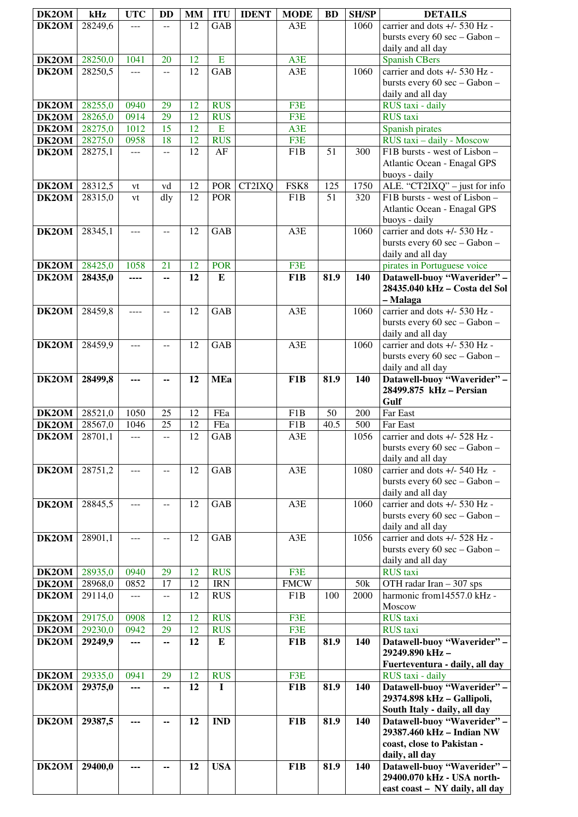| DK2OM              | kHz                | <b>UTC</b>    | <b>DD</b>      | <b>MM</b>       | <b>ITU</b>       | <b>IDENT</b> | <b>MODE</b>             | <b>BD</b> | <b>SH/SP</b> | <b>DETAILS</b>                                                   |
|--------------------|--------------------|---------------|----------------|-----------------|------------------|--------------|-------------------------|-----------|--------------|------------------------------------------------------------------|
| DK2OM              | 28249,6            |               | $-$            | 12              | GAB              |              | A3E                     |           | 1060         | carrier and dots +/- 530 Hz -                                    |
|                    |                    |               |                |                 |                  |              |                         |           |              | bursts every 60 sec - Gabon -                                    |
|                    |                    |               |                |                 |                  |              |                         |           |              | daily and all day                                                |
| DK2OM<br>DK2OM     | 28250,0<br>28250,5 | 1041<br>$---$ | 20<br>$-1$     | 12<br>12        | E<br>GAB         |              | A3E<br>A3E              |           | 1060         | <b>Spanish CBers</b><br>carrier and dots +/- 530 Hz -            |
|                    |                    |               |                |                 |                  |              |                         |           |              | bursts every 60 sec - Gabon -                                    |
|                    |                    |               |                |                 |                  |              |                         |           |              | daily and all day                                                |
| <b>DK2OM</b>       | 28255,0            | 0940          | 29             | 12              | <b>RUS</b>       |              | F3E                     |           |              | RUS taxi - daily                                                 |
| $\overline{DK2OM}$ | 28265,0            | 0914          | 29             | 12              | <b>RUS</b>       |              | F3E                     |           |              | RUS taxi                                                         |
| <b>DK2OM</b>       | 28275,0            | 1012          | 15             | 12              | E                |              | A3E                     |           |              | Spanish pirates                                                  |
| DK2OM<br>DK2OM     | 28275,0<br>28275,1 | 0958<br>---   | 18<br>--       | 12<br>12        | <b>RUS</b><br>AF |              | F3E<br>F <sub>1</sub> B | 51        | 300          | RUS taxi - daily - Moscow<br>F1B bursts - west of Lisbon -       |
|                    |                    |               |                |                 |                  |              |                         |           |              | Atlantic Ocean - Enagal GPS                                      |
|                    |                    |               |                |                 |                  |              |                         |           |              | buoys - daily                                                    |
| <b>DK2OM</b>       | 28312,5            | vt            | vd             | 12              | <b>POR</b>       | CT2IXQ       | FSK8                    | 125       | 1750         | ALE. "CT2IXQ" - just for info                                    |
| DK2OM              | 28315,0            | vt            | dly            | 12              | POR              |              | F <sub>1</sub> B        | 51        | 320          | F1B bursts - west of Lisbon -                                    |
|                    |                    |               |                |                 |                  |              |                         |           |              | Atlantic Ocean - Enagal GPS<br>buoys - daily                     |
| DK2OM              | 28345,1            | $---$         | $-$            | 12              | <b>GAB</b>       |              | A3E                     |           | 1060         | carrier and dots +/- 530 Hz -                                    |
|                    |                    |               |                |                 |                  |              |                         |           |              | bursts every 60 sec - Gabon -                                    |
|                    |                    |               |                |                 |                  |              |                         |           |              | daily and all day                                                |
| $\overline{D}K2OM$ | 28425,0            | 1058          | 21             | 12              | <b>POR</b>       |              | F3E                     |           |              | pirates in Portuguese voice                                      |
| DK2OM              | 28435,0            | ----          | --             | 12              | E                |              | F1B                     | 81.9      | 140          | Datawell-buoy "Waverider" -<br>28435.040 kHz - Costa del Sol     |
|                    |                    |               |                |                 |                  |              |                         |           |              | – Malaga                                                         |
| DK2OM              | 28459,8            |               |                | 12              | <b>GAB</b>       |              | A3E                     |           | 1060         | carrier and dots +/- 530 Hz -                                    |
|                    |                    |               |                |                 |                  |              |                         |           |              | bursts every 60 sec - Gabon -                                    |
|                    | 28459,9            |               |                | 12              | <b>GAB</b>       |              | A3E                     |           | 1060         | daily and all day<br>carrier and dots +/- 530 Hz -               |
| DK2OM              |                    | $---$         | $-$            |                 |                  |              |                         |           |              | bursts every 60 sec - Gabon -                                    |
|                    |                    |               |                |                 |                  |              |                         |           |              | daily and all day                                                |
| DK2OM              | 28499,8            | ---           | --             | 12              | <b>MEa</b>       |              | F1B                     | 81.9      | 140          | Datawell-buoy "Waverider" -                                      |
|                    |                    |               |                |                 |                  |              |                         |           |              | 28499.875 kHz - Persian                                          |
| <b>DK2OM</b>       | 28521,0            | 1050          | 25             | 12              | FEa              |              | F <sub>1</sub> B        | 50        | 200          | Gulf<br>Far East                                                 |
| DK2OM              | 28567,0            | 1046          | 25             | $\overline{12}$ | FEa              |              | F1B                     | 40.5      | 500          | Far East                                                         |
| DK2OM              | 28701,1            |               |                | 12              | <b>GAB</b>       |              | A3E                     |           | 1056         | carrier and dots +/- 528 Hz -                                    |
|                    |                    |               |                |                 |                  |              |                         |           |              | bursts every 60 sec - Gabon -                                    |
|                    |                    |               |                |                 |                  |              |                         |           |              | daily and all day                                                |
| DK2OM              | 28751,2            | $---$         | --             | 12              | GAB              |              | A3E                     |           | 1080         | carrier and dots $+/- 540$ Hz -<br>bursts every 60 sec - Gabon - |
|                    |                    |               |                |                 |                  |              |                         |           |              | daily and all day                                                |
| DK2OM              | 28845,5            | $---$         | $-$            | 12              | GAB              |              | A3E                     |           | 1060         | carrier and dots +/- 530 Hz -                                    |
|                    |                    |               |                |                 |                  |              |                         |           |              | bursts every 60 sec - Gabon -                                    |
| DK2OM              | 28901,1            | $- - -$       | $\overline{a}$ | 12              | GAB              |              | $A3E$                   |           | 1056         | daily and all day<br>carrier and dots +/- 528 Hz -               |
|                    |                    |               |                |                 |                  |              |                         |           |              | bursts every 60 sec - Gabon -                                    |
|                    |                    |               |                |                 |                  |              |                         |           |              | daily and all day                                                |
| DK2OM              | 28935,0            | 0940          | 29             | 12              | <b>RUS</b>       |              | F3E                     |           |              | <b>RUS</b> taxi                                                  |
| DK2OM              | 28968,0            | 0852          | 17             | 12              | <b>IRN</b>       |              | <b>FMCW</b>             |           | 50k          | OTH radar Iran - 307 sps                                         |
| DK2OM              | 29114,0            | ---           | $-$            | 12              | <b>RUS</b>       |              | F <sub>1</sub> B        | 100       | 2000         | harmonic from14557.0 kHz -<br>Moscow                             |
| DK2OM              | 29175,0            | 0908          | 12             | 12              | <b>RUS</b>       |              | F3E                     |           |              | <b>RUS</b> taxi                                                  |
| DK2OM              | 29230,0            | 0942          | 29             | 12              | <b>RUS</b>       |              | F3E                     |           |              | <b>RUS</b> taxi                                                  |
| DK2OM              | 29249,9            | ---           | --             | 12              | ${\bf E}$        |              | F1B                     | 81.9      | 140          | Datawell-buoy "Waverider" -                                      |
|                    |                    |               |                |                 |                  |              |                         |           |              | 29249.890 kHz-                                                   |
| DK2OM              | 29335,0            | 0941          | 29             | 12              | <b>RUS</b>       |              | F3E                     |           |              | Fuerteventura - daily, all day<br>RUS taxi - daily               |
| DK2OM              | 29375,0            | ---           | --             | 12              | $\mathbf I$      |              | F1B                     | 81.9      | 140          | Datawell-buoy "Waverider" -                                      |
|                    |                    |               |                |                 |                  |              |                         |           |              | 29374.898 kHz - Gallipoli,                                       |
|                    |                    |               |                |                 |                  |              |                         |           |              | South Italy - daily, all day                                     |
| DK2OM              | 29387,5            | ---           | --             | 12              | <b>IND</b>       |              | F1B                     | 81.9      | 140          | Datawell-buoy "Waverider" -                                      |
|                    |                    |               |                |                 |                  |              |                         |           |              | 29387.460 kHz - Indian NW<br>coast, close to Pakistan -          |
|                    |                    |               |                |                 |                  |              |                         |           |              | daily, all day                                                   |
| DK2OM              | 29400,0            | ---           | --             | 12              | <b>USA</b>       |              | F1B                     | 81.9      | 140          | Datawell-buoy "Waverider" -                                      |
|                    |                    |               |                |                 |                  |              |                         |           |              | 29400.070 kHz - USA north-                                       |
|                    |                    |               |                |                 |                  |              |                         |           |              | east coast - NY daily, all day                                   |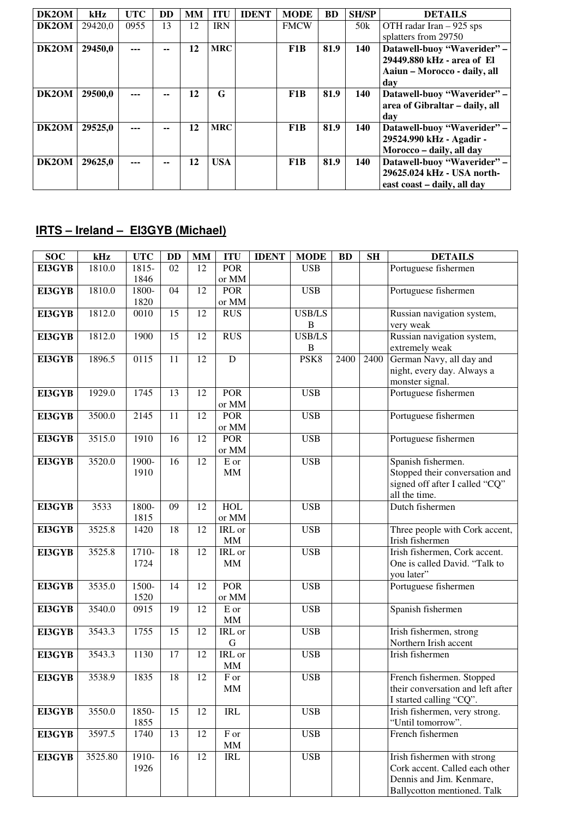| DK2OM | kHz     | <b>UTC</b> | <b>DD</b> | MM | ITU        | <b>IDENT</b> | <b>MODE</b> | <b>BD</b> | <b>SH/SP</b> | <b>DETAILS</b>                 |
|-------|---------|------------|-----------|----|------------|--------------|-------------|-----------|--------------|--------------------------------|
| DK2OM | 29420.0 | 0955       | 13        | 12 | <b>IRN</b> |              | <b>FMCW</b> |           | 50k          | OTH radar Iran $-925$ sps      |
|       |         |            |           |    |            |              |             |           |              | splatters from 29750           |
| DK2OM | 29450,0 | ---        |           | 12 | <b>MRC</b> |              | F1B         | 81.9      | 140          | Datawell-buoy "Waverider" -    |
|       |         |            |           |    |            |              |             |           |              | 29449.880 kHz - area of El     |
|       |         |            |           |    |            |              |             |           |              | Aaiun - Morocco - daily, all   |
|       |         |            |           |    |            |              |             |           |              | dav                            |
| DK2OM | 29500,0 | ---        |           | 12 | G          |              | F1B         | 81.9      | 140          | Datawell-buoy "Waverider" -    |
|       |         |            |           |    |            |              |             |           |              | area of Gibraltar – daily, all |
|       |         |            |           |    |            |              |             |           |              | dav                            |
| DK2OM | 29525,0 | ---        |           | 12 | <b>MRC</b> |              | F1B         | 81.9      | 140          | Datawell-buoy "Waverider" -    |
|       |         |            |           |    |            |              |             |           |              | 29524.990 kHz - Agadir -       |
|       |         |            |           |    |            |              |             |           |              | Morocco - daily, all day       |
| DK2OM | 29625.0 | ---        |           | 12 | <b>USA</b> |              | F1B         | 81.9      | 140          | Datawell-buoy "Waverider" -    |
|       |         |            |           |    |            |              |             |           |              | 29625.024 kHz - USA north-     |
|       |         |            |           |    |            |              |             |           |              | east coast – daily, all day    |

# **IRTS – Ireland – EI3GYB (Michael)**

| $\overline{S}OC$ | kHz     | <b>UTC</b>    | <b>DD</b>       | $\mathbf{MM}$ | <b>ITU</b>        | <b>IDENT</b> | <b>MODE</b>      | <b>BD</b> | <b>SH</b> | <b>DETAILS</b>                                     |
|------------------|---------|---------------|-----------------|---------------|-------------------|--------------|------------------|-----------|-----------|----------------------------------------------------|
| EI3GYB           | 1810.0  | 1815-         | 02              | 12            | <b>POR</b>        |              | <b>USB</b>       |           |           | Portuguese fishermen                               |
|                  |         | 1846          |                 |               | or MM             |              |                  |           |           |                                                    |
| EI3GYB           | 1810.0  | 1800-         | 04              | 12            | <b>POR</b>        |              | <b>USB</b>       |           |           | Portuguese fishermen                               |
|                  |         | 1820          |                 |               | or MM             |              |                  |           |           |                                                    |
| <b>EI3GYB</b>    | 1812.0  | 0010          | 15              | 12            | <b>RUS</b>        |              | <b>USB/LS</b>    |           |           | Russian navigation system,                         |
|                  |         |               |                 |               |                   |              | $\mathbf B$      |           |           | very weak                                          |
| EI3GYB           | 1812.0  | 1900          | 15              | 12            | <b>RUS</b>        |              | <b>USB/LS</b>    |           |           | Russian navigation system,                         |
|                  |         |               |                 |               |                   |              | $\, {\bf B}$     |           |           | extremely weak                                     |
| <b>EI3GYB</b>    | 1896.5  | 0115          | 11              | 12            | $\overline{D}$    |              | PSK <sub>8</sub> | 2400      | 2400      | German Navy, all day and                           |
|                  |         |               |                 |               |                   |              |                  |           |           | night, every day. Always a                         |
|                  |         |               |                 |               |                   |              |                  |           |           | monster signal.                                    |
| EI3GYB           | 1929.0  | 1745          | 13              | 12            | <b>POR</b>        |              | <b>USB</b>       |           |           | Portuguese fishermen                               |
|                  |         |               |                 |               | or MM             |              |                  |           |           |                                                    |
| EI3GYB           | 3500.0  | 2145          | 11              | 12            | <b>POR</b>        |              | <b>USB</b>       |           |           | Portuguese fishermen                               |
|                  |         |               |                 |               | or MM             |              |                  |           |           |                                                    |
| EI3GYB           | 3515.0  | 1910          | 16              | 12            | <b>POR</b>        |              | <b>USB</b>       |           |           | Portuguese fishermen                               |
|                  |         |               |                 |               | or MM             |              |                  |           |           |                                                    |
| EI3GYB           | 3520.0  | 1900-         | 16              | 12            | $\mathbf E$ or    |              | <b>USB</b>       |           |           | Spanish fishermen.                                 |
|                  |         | 1910          |                 |               | MM                |              |                  |           |           | Stopped their conversation and                     |
|                  |         |               |                 |               |                   |              |                  |           |           | signed off after I called "CQ"                     |
|                  |         |               |                 |               |                   |              |                  |           |           | all the time.                                      |
| EI3GYB           | 3533    | 1800-         | 09              | 12            | HOL               |              | <b>USB</b>       |           |           | Dutch fishermen                                    |
|                  |         | 1815          |                 |               | or MM             |              |                  |           |           |                                                    |
| EI3GYB           | 3525.8  | 1420          | 18              | 12            | IRL or            |              | <b>USB</b>       |           |           | Three people with Cork accent,                     |
|                  |         |               |                 |               | <b>MM</b>         |              |                  |           |           | Irish fishermen                                    |
| EI3GYB           | 3525.8  | $1710-$       | $\overline{18}$ | 12            | IRL or            |              | <b>USB</b>       |           |           | Irish fishermen, Cork accent.                      |
|                  |         | 1724          |                 |               | MM                |              |                  |           |           | One is called David. "Talk to                      |
|                  |         |               |                 |               |                   |              |                  |           |           | you later"                                         |
| EI3GYB           | 3535.0  | 1500-         | 14              | 12            | <b>POR</b>        |              | <b>USB</b>       |           |           | Portuguese fishermen                               |
|                  |         | 1520          |                 |               | or MM             |              |                  |           |           |                                                    |
| <b>EI3GYB</b>    | 3540.0  | 0915          | 19              | 12            | $\overline{E}$ or |              | <b>USB</b>       |           |           | Spanish fishermen                                  |
|                  |         |               |                 |               | MM                |              |                  |           |           |                                                    |
| EI3GYB           | 3543.3  | 1755          | 15              | 12            | IRL or            |              | <b>USB</b>       |           |           | Irish fishermen, strong                            |
|                  |         |               |                 |               | $\mathbf G$       |              |                  |           |           | Northern Irish accent                              |
| <b>EI3GYB</b>    | 3543.3  | 1130          | 17              | 12            | IRL or            |              | <b>USB</b>       |           |           | Irish fishermen                                    |
|                  |         |               |                 |               | MM                |              |                  |           |           |                                                    |
| EI3GYB           | 3538.9  | 1835          | 18              | 12            | $\overline{F}$ or |              | <b>USB</b>       |           |           | French fishermen. Stopped                          |
|                  |         |               |                 |               | MM                |              |                  |           |           | their conversation and left after                  |
|                  |         |               |                 |               |                   |              |                  |           |           | I started calling "CQ".                            |
| EI3GYB           | 3550.0  | 1850-<br>1855 | 15              | 12            | <b>IRL</b>        |              | <b>USB</b>       |           |           | Irish fishermen, very strong.<br>"Until tomorrow". |
|                  | 3597.5  | 1740          | 13              | 12            | F or              |              | <b>USB</b>       |           |           | French fishermen                                   |
| EI3GYB           |         |               |                 |               |                   |              |                  |           |           |                                                    |
|                  | 3525.80 | 1910-         | 16              | 12            | MM<br><b>IRL</b>  |              | <b>USB</b>       |           |           | Irish fishermen with strong                        |
| <b>EI3GYB</b>    |         | 1926          |                 |               |                   |              |                  |           |           | Cork accent. Called each other                     |
|                  |         |               |                 |               |                   |              |                  |           |           | Dennis and Jim. Kenmare,                           |
|                  |         |               |                 |               |                   |              |                  |           |           |                                                    |
|                  |         |               |                 |               |                   |              |                  |           |           | Ballycotton mentioned. Talk                        |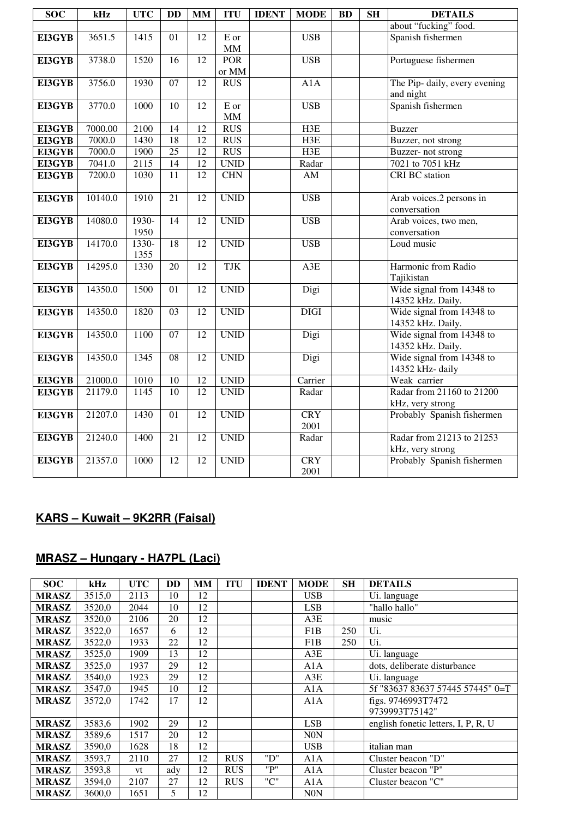| <b>SOC</b>    | kHz     | <b>UTC</b>    | <b>DD</b>       | <b>MM</b>       | <b>ITU</b>  | <b>IDENT</b> | <b>MODE</b> | <b>BD</b> | <b>SH</b> | <b>DETAILS</b>                |
|---------------|---------|---------------|-----------------|-----------------|-------------|--------------|-------------|-----------|-----------|-------------------------------|
|               |         |               |                 |                 |             |              |             |           |           | about "fucking" food.         |
| EI3GYB        | 3651.5  | 1415          | 01              | 12              | E or        |              | <b>USB</b>  |           |           | Spanish fishermen             |
|               |         |               |                 |                 | <b>MM</b>   |              |             |           |           |                               |
| EI3GYB        | 3738.0  | 1520          | 16              | 12              | <b>POR</b>  |              | <b>USB</b>  |           |           | Portuguese fishermen          |
|               |         |               |                 |                 | or MM       |              |             |           |           |                               |
| EI3GYB        | 3756.0  | 1930          | 07              | 12              | <b>RUS</b>  |              | A1A         |           |           | The Pip- daily, every evening |
|               |         |               |                 |                 |             |              |             |           |           | and night                     |
| EI3GYB        | 3770.0  | 1000          | 10              | 12              | E or        |              | <b>USB</b>  |           |           | Spanish fishermen             |
|               |         |               |                 |                 | <b>MM</b>   |              |             |           |           |                               |
| EI3GYB        | 7000.00 | 2100          | 14              | 12              | $\rm RUS$   |              | H3E         |           |           | <b>Buzzer</b>                 |
| EI3GYB        | 7000.0  | 1430          | $\overline{18}$ | $\overline{12}$ | <b>RUS</b>  |              | H3E         |           |           | Buzzer, not strong            |
| EI3GYB        | 7000.0  | 1900          | $\overline{25}$ | 12              | <b>RUS</b>  |              | H3E         |           |           | Buzzer- not strong            |
| EI3GYB        | 7041.0  | 2115          | $\overline{14}$ | $\overline{12}$ | <b>UNID</b> |              | Radar       |           |           | 7021 to 7051 kHz              |
| EI3GYB        | 7200.0  | 1030          | 11              | 12              | <b>CHN</b>  |              | AM          |           |           | <b>CRI BC</b> station         |
|               |         |               |                 |                 |             |              |             |           |           |                               |
| EI3GYB        | 10140.0 | 1910          | 21              | 12              | <b>UNID</b> |              | <b>USB</b>  |           |           | Arab voices.2 persons in      |
|               |         |               |                 |                 |             |              |             |           |           | conversation                  |
| EI3GYB        | 14080.0 | 1930-         | $\overline{14}$ | $\overline{12}$ | <b>UNID</b> |              | <b>USB</b>  |           |           | Arab voices, two men,         |
|               |         | 1950          |                 |                 |             |              |             |           |           | conversation                  |
| EI3GYB        | 14170.0 | 1330-<br>1355 | 18              | 12              | <b>UNID</b> |              | <b>USB</b>  |           |           | Loud music                    |
| EI3GYB        | 14295.0 | 1330          | $\overline{20}$ | $\overline{12}$ | <b>TJK</b>  |              | A3E         |           |           | Harmonic from Radio           |
|               |         |               |                 |                 |             |              |             |           |           | Tajikistan                    |
| EI3GYB        | 14350.0 | 1500          | 01              | 12              | <b>UNID</b> |              | Digi        |           |           | Wide signal from 14348 to     |
|               |         |               |                 |                 |             |              |             |           |           | 14352 kHz. Daily.             |
| EI3GYB        | 14350.0 | 1820          | 03              | 12              | <b>UNID</b> |              | <b>DIGI</b> |           |           | Wide signal from 14348 to     |
|               |         |               |                 |                 |             |              |             |           |           | 14352 kHz. Daily.             |
| EI3GYB        | 14350.0 | 1100          | 07              | 12              | <b>UNID</b> |              | Digi        |           |           | Wide signal from 14348 to     |
|               |         |               |                 |                 |             |              |             |           |           | 14352 kHz. Daily.             |
| EI3GYB        | 14350.0 | 1345          | 08              | 12              | <b>UNID</b> |              | Digi        |           |           | Wide signal from 14348 to     |
|               |         |               |                 |                 |             |              |             |           |           | 14352 kHz-daily               |
| <b>EI3GYB</b> | 21000.0 | 1010          | 10              | 12              | <b>UNID</b> |              | Carrier     |           |           | Weak carrier                  |
| EI3GYB        | 21179.0 | 1145          | 10              | 12              | <b>UNID</b> |              | Radar       |           |           | Radar from 21160 to 21200     |
|               |         |               |                 |                 |             |              |             |           |           | kHz, very strong              |
| EI3GYB        | 21207.0 | 1430          | 01              | $\overline{12}$ | <b>UNID</b> |              | <b>CRY</b>  |           |           | Probably Spanish fishermen    |
|               |         |               |                 |                 |             |              | 2001        |           |           |                               |
| EI3GYB        | 21240.0 | 1400          | $\overline{21}$ | $\overline{12}$ | <b>UNID</b> |              | Radar       |           |           | Radar from 21213 to 21253     |
|               |         |               |                 |                 |             |              |             |           |           | kHz, very strong              |
| EI3GYB        | 21357.0 | 1000          | 12              | 12              | <b>UNID</b> |              | <b>CRY</b>  |           |           | Probably Spanish fishermen    |
|               |         |               |                 |                 |             |              | 2001        |           |           |                               |

# **KARS – Kuwait – 9K2RR (Faisal)**

# **MRASZ – Hungary - HA7PL (Laci)**

| <b>SOC</b>   | kHz    | <b>UTC</b> | <b>DD</b> | MМ | <b>ITU</b> | <b>IDENT</b> | <b>MODE</b> | <b>SH</b> | <b>DETAILS</b>                      |
|--------------|--------|------------|-----------|----|------------|--------------|-------------|-----------|-------------------------------------|
| <b>MRASZ</b> | 3515,0 | 2113       | 10        | 12 |            |              | <b>USB</b>  |           | Ui. language                        |
| <b>MRASZ</b> | 3520,0 | 2044       | 10        | 12 |            |              | <b>LSB</b>  |           | "hallo hallo"                       |
| <b>MRASZ</b> | 3520,0 | 2106       | 20        | 12 |            |              | A3E         |           | music                               |
| <b>MRASZ</b> | 3522,0 | 1657       | 6         | 12 |            |              | F1B         | 250       | Ui.                                 |
| <b>MRASZ</b> | 3522,0 | 1933       | 22        | 12 |            |              | F1B         | 250       | Ui.                                 |
| <b>MRASZ</b> | 3525,0 | 1909       | 13        | 12 |            |              | A3E         |           | Ui. language                        |
| <b>MRASZ</b> | 3525,0 | 1937       | 29        | 12 |            |              | A1A         |           | dots, deliberate disturbance        |
| <b>MRASZ</b> | 3540,0 | 1923       | 29        | 12 |            |              | A3E         |           | Ui. language                        |
| <b>MRASZ</b> | 3547,0 | 1945       | 10        | 12 |            |              | A1A         |           | 5f "83637 83637 57445 57445" 0=T    |
| <b>MRASZ</b> | 3572,0 | 1742       | 17        | 12 |            |              | A1A         |           | figs. 9746993T7472                  |
|              |        |            |           |    |            |              |             |           | 9739993T75142"                      |
| <b>MRASZ</b> | 3583,6 | 1902       | 29        | 12 |            |              | <b>LSB</b>  |           | english fonetic letters, I, P, R, U |
| <b>MRASZ</b> | 3589,6 | 1517       | 20        | 12 |            |              | <b>N0N</b>  |           |                                     |
| <b>MRASZ</b> | 3590,0 | 1628       | 18        | 12 |            |              | <b>USB</b>  |           | italian man                         |
| <b>MRASZ</b> | 3593,7 | 2110       | 27        | 12 | <b>RUS</b> | "D"          | A1A         |           | Cluster beacon "D"                  |
| <b>MRASZ</b> | 3593,8 | vt         | ady       | 12 | <b>RUS</b> | "P"          | A1A         |           | Cluster beacon "P"                  |
| <b>MRASZ</b> | 3594,0 | 2107       | 27        | 12 | <b>RUS</b> | "C"          | A1A         |           | Cluster beacon "C"                  |
| <b>MRASZ</b> | 3600,0 | 1651       | 5         | 12 |            |              | <b>N0N</b>  |           |                                     |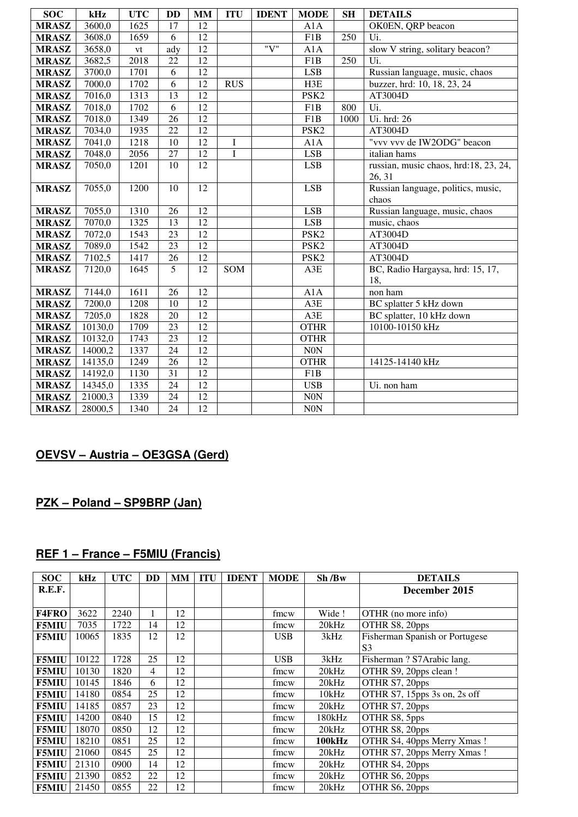| <b>SOC</b>   | kHz     | <b>UTC</b>    | <b>DD</b>       | <b>MM</b>       | <b>ITU</b>   | <b>IDENT</b> | <b>MODE</b>      | <b>SH</b> | <b>DETAILS</b>                        |
|--------------|---------|---------------|-----------------|-----------------|--------------|--------------|------------------|-----------|---------------------------------------|
| <b>MRASZ</b> | 3600,0  | 1625          | 17              | 12              |              |              | A1A              |           | OK0EN, QRP beacon                     |
| <b>MRASZ</b> | 3608,0  | 1659          | 6               | 12              |              |              | F <sub>1</sub> B | 250       | Ui.                                   |
| <b>MRASZ</b> | 3658,0  | $\mathrm{vt}$ | ady             | 12              |              | "V"          | A1A              |           | slow V string, solitary beacon?       |
| <b>MRASZ</b> | 3682,5  | 2018          | 22              | $\overline{12}$ |              |              | $\overline{F1B}$ | 250       | Ui.                                   |
| <b>MRASZ</b> | 3700,0  | 1701          | 6               | 12              |              |              | <b>LSB</b>       |           | Russian language, music, chaos        |
| <b>MRASZ</b> | 7000,0  | 1702          | 6               | 12              | <b>RUS</b>   |              | H3E              |           | buzzer, hrd: 10, 18, 23, 24           |
| <b>MRASZ</b> | 7016,0  | 1313          | 13              | $\overline{12}$ |              |              | PSK <sub>2</sub> |           | AT3004D                               |
| <b>MRASZ</b> | 7018,0  | 1702          | 6               | 12              |              |              | F1B              | 800       | Ui.                                   |
| <b>MRASZ</b> | 7018,0  | 1349          | 26              | 12              |              |              | F <sub>1</sub> B | 1000      | Ui. hrd: 26                           |
| <b>MRASZ</b> | 7034,0  | 1935          | 22              | 12              |              |              | PSK <sub>2</sub> |           | AT3004D                               |
| <b>MRASZ</b> | 7041,0  | 1218          | 10              | 12              | I            |              | A1A              |           | "vvv vvv de IW2ODG" beacon            |
| <b>MRASZ</b> | 7048,0  | 2056          | 27              | 12              | $\mathbf{I}$ |              | <b>LSB</b>       |           | italian hams                          |
| <b>MRASZ</b> | 7050,0  | 1201          | 10              | 12              |              |              | <b>LSB</b>       |           | russian, music chaos, hrd:18, 23, 24, |
|              |         |               |                 |                 |              |              |                  |           | 26, 31                                |
| <b>MRASZ</b> | 7055,0  | 1200          | 10              | $\overline{12}$ |              |              | <b>LSB</b>       |           | Russian language, politics, music,    |
|              |         |               |                 |                 |              |              |                  |           | chaos                                 |
| <b>MRASZ</b> | 7055,0  | 1310          | 26              | $\overline{12}$ |              |              | <b>LSB</b>       |           | Russian language, music, chaos        |
| <b>MRASZ</b> | 7070,0  | 1325          | 13              | $\overline{12}$ |              |              | <b>LSB</b>       |           | music, chaos                          |
| <b>MRASZ</b> | 7072,0  | 1543          | 23              | $\overline{12}$ |              |              | PSK <sub>2</sub> |           | AT3004D                               |
| <b>MRASZ</b> | 7089,0  | 1542          | $\overline{23}$ | 12              |              |              | PSK <sub>2</sub> |           | AT3004D                               |
| <b>MRASZ</b> | 7102,5  | 1417          | 26              | $\overline{12}$ |              |              | PSK <sub>2</sub> |           | AT3004D                               |
| <b>MRASZ</b> | 7120,0  | 1645          | 5               | 12              | SOM          |              | A3E              |           | BC, Radio Hargaysa, hrd: 15, 17,      |
|              |         |               |                 |                 |              |              |                  |           | 18,                                   |
| <b>MRASZ</b> | 7144,0  | 1611          | 26              | 12              |              |              | A1A              |           | non ham                               |
| <b>MRASZ</b> | 7200,0  | 1208          | 10              | 12              |              |              | A3E              |           | BC splatter 5 kHz down                |
| <b>MRASZ</b> | 7205,0  | 1828          | 20              | $\overline{12}$ |              |              | A3E              |           | BC splatter, 10 kHz down              |
| <b>MRASZ</b> | 10130,0 | 1709          | 23              | $\overline{12}$ |              |              | <b>OTHR</b>      |           | 10100-10150 kHz                       |
| <b>MRASZ</b> | 10132,0 | 1743          | 23              | 12              |              |              | <b>OTHR</b>      |           |                                       |
| <b>MRASZ</b> | 14000,2 | 1337          | 24              | 12              |              |              | <b>N0N</b>       |           |                                       |
| <b>MRASZ</b> | 14135,0 | 1249          | 26              | 12              |              |              | <b>OTHR</b>      |           | 14125-14140 kHz                       |
| <b>MRASZ</b> | 14192,0 | 1130          | $\overline{31}$ | 12              |              |              | F1B              |           |                                       |
| <b>MRASZ</b> | 14345,0 | 1335          | 24              | $\overline{12}$ |              |              | <b>USB</b>       |           | Ui. non ham                           |
| <b>MRASZ</b> | 21000,3 | 1339          | 24              | $\overline{12}$ |              |              | <b>N0N</b>       |           |                                       |
| <b>MRASZ</b> | 28000,5 | 1340          | $\overline{24}$ | 12              |              |              | N0N              |           |                                       |

# **OEVSV – Austria – OE3GSA (Gerd)**

# **PZK – Poland – SP9BRP (Jan)**

# **REF 1 – France – F5MIU (Francis)**

| <b>SOC</b>   | kHz   | <b>UTC</b> | DD | MМ | <b>ITU</b> | <b>IDENT</b> | <b>MODE</b> | Sh/Bw         | <b>DETAILS</b>                 |
|--------------|-------|------------|----|----|------------|--------------|-------------|---------------|--------------------------------|
| R.E.F.       |       |            |    |    |            |              |             |               | December 2015                  |
|              |       |            |    |    |            |              |             |               |                                |
| <b>F4FRO</b> | 3622  | 2240       | -  | 12 |            |              | fmcw        | Wide !        | OTHR (no more info)            |
| <b>F5MIU</b> | 7035  | 1722       | 14 | 12 |            |              | fmcw        | 20kHz         | OTHR S8, 20pps                 |
| <b>F5MIU</b> | 10065 | 1835       | 12 | 12 |            |              | <b>USB</b>  | 3kHz          | Fisherman Spanish or Portugese |
|              |       |            |    |    |            |              |             |               | S <sub>3</sub>                 |
| <b>F5MIU</b> | 10122 | 1728       | 25 | 12 |            |              | <b>USB</b>  | 3kHz          | Fisherman ? S7Arabic lang.     |
| <b>F5MIU</b> | 10130 | 1820       | 4  | 12 |            |              | fmcw        | 20kHz         | OTHR S9, 20pps clean !         |
| <b>F5MIU</b> | 10145 | 1846       | 6  | 12 |            |              | fmcw        | 20kHz         | OTHR S7, 20pps                 |
| <b>F5MIU</b> | 14180 | 0854       | 25 | 12 |            |              | fmcw        | 10kHz         | OTHR S7, 15pps 3s on, 2s off   |
| <b>F5MIU</b> | 14185 | 0857       | 23 | 12 |            |              | fmcw        | 20kHz         | OTHR S7, 20pps                 |
| <b>F5MIU</b> | 14200 | 0840       | 15 | 12 |            |              | fmcw        | 180kHz        | OTHR S8, 5pps                  |
| <b>F5MIU</b> | 18070 | 0850       | 12 | 12 |            |              | fmcw        | 20kHz         | OTHR S8, 20pps                 |
| <b>F5MIU</b> | 18210 | 0851       | 25 | 12 |            |              | fmcw        | <b>100kHz</b> | OTHR S4, 40pps Merry Xmas!     |
| <b>F5MIU</b> | 21060 | 0845       | 25 | 12 |            |              | fmcw        | 20kHz         | OTHR S7, 20pps Merry Xmas!     |
| <b>F5MIU</b> | 21310 | 0900       | 14 | 12 |            |              | fmcw        | 20kHz         | OTHR S4, 20pps                 |
| <b>F5MIU</b> | 21390 | 0852       | 22 | 12 |            |              | fmcw        | 20kHz         | OTHR S6, 20pps                 |
| <b>F5MIU</b> | 21450 | 0855       | 22 | 12 |            |              | fmcw        | 20kHz         | OTHR S6, 20pps                 |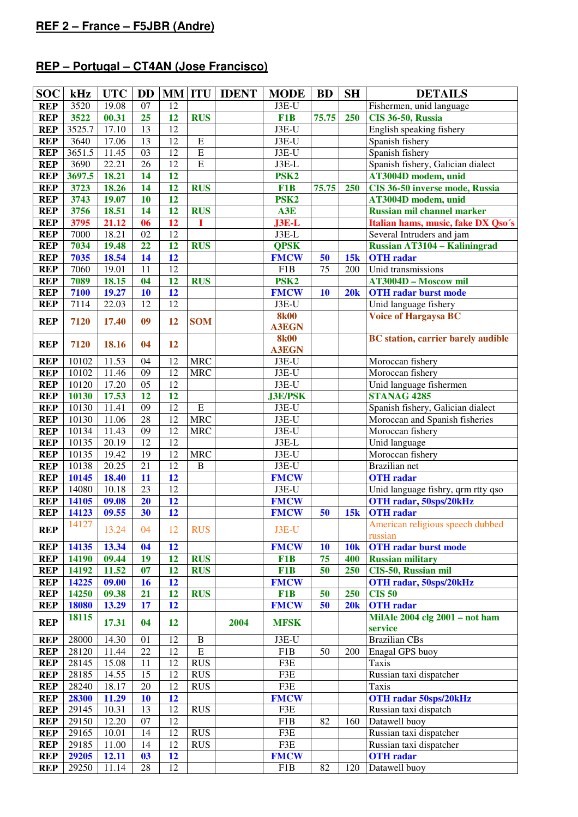# **REP – Portugal – CT4AN (Jose Francisco)**

| <b>SOC</b> | kHz    | <b>UTC</b>         | <b>DD</b>       |                 | <b>MM ITU</b>  | <b>IDENT</b> | <b>MODE</b>      | <b>BD</b>       | <b>SH</b>  | <b>DETAILS</b>                            |  |
|------------|--------|--------------------|-----------------|-----------------|----------------|--------------|------------------|-----------------|------------|-------------------------------------------|--|
| <b>REP</b> | 3520   | 19.08              | 07              | 12              |                |              | J3E-U            |                 |            | Fishermen, unid language                  |  |
| <b>REP</b> | 3522   | 00.31              | 25              | 12              | <b>RUS</b>     |              | F1B              | 75.75           | 250        | <b>CIS 36-50, Russia</b>                  |  |
| <b>REP</b> | 3525.7 | 17.10              | $\overline{13}$ | $\overline{12}$ |                |              | J3E-U            |                 |            | English speaking fishery                  |  |
| <b>REP</b> | 3640   | 17.06              | 13              | $\overline{12}$ | E              |              | J3E-U            |                 |            | Spanish fishery                           |  |
| <b>REP</b> | 3651.5 | 11.45              | 03              | $\overline{12}$ | $\overline{E}$ |              | J3E-U            |                 |            | Spanish fishery                           |  |
| <b>REP</b> | 3690   | 22.21              | 26              | $\overline{12}$ | $\overline{E}$ |              | J3E-L            |                 |            | Spanish fishery, Galician dialect         |  |
| <b>REP</b> | 3697.5 | 18.21              | 14              | 12              |                |              | PSK <sub>2</sub> |                 |            | AT3004D modem, unid                       |  |
| <b>REP</b> | 3723   | 18.26              | 14              | 12              | <b>RUS</b>     |              | F1B              | 75.75           | 250        | CIS 36-50 inverse mode, Russia            |  |
| <b>REP</b> | 3743   | 19.07              | 10              | 12              |                |              | PSK <sub>2</sub> |                 |            | AT3004D modem, unid                       |  |
| <b>REP</b> | 3756   | 18.51              | 14              | 12              | <b>RUS</b>     |              | A3E              |                 |            | <b>Russian mil channel marker</b>         |  |
| <b>REP</b> | 3795   | 21.12              | 06              | 12              | I              |              | J3E-L            |                 |            | Italian hams, music, fake DX Qso's        |  |
| <b>REP</b> | 7000   | 18.21              | 02              | $\overline{12}$ |                |              | J3E-L            |                 |            | Several Intruders and jam                 |  |
| <b>REP</b> | 7034   | 19.48              | 22              | 12              | <b>RUS</b>     |              | <b>QPSK</b>      |                 |            | <b>Russian AT3104 - Kaliningrad</b>       |  |
| <b>REP</b> | 7035   | 18.54              | 14              | 12              |                |              | <b>FMCW</b>      | 50              | 15k        | <b>OTH</b> radar                          |  |
| <b>REP</b> | 7060   | 19.01              | 11              | $\overline{12}$ |                |              | F1B              | $\overline{75}$ | 200        | Unid transmissions                        |  |
| <b>REP</b> | 7089   | 18.15              | 04              | 12              | <b>RUS</b>     |              | PSK <sub>2</sub> |                 |            | <b>AT3004D - Moscow mil</b>               |  |
| <b>REP</b> | 7100   | 19.27              | 10              | 12              |                |              | <b>FMCW</b>      | 10              | 20k        | <b>OTH</b> radar burst mode               |  |
| <b>REP</b> | 7114   | 22.03              | 12              | $\overline{12}$ |                |              | J3E-U            |                 |            | Unid language fishery                     |  |
| <b>REP</b> | 7120   | 17.40              | 09              | 12              | <b>SOM</b>     |              | <b>8k00</b>      |                 |            | <b>Voice of Hargaysa BC</b>               |  |
|            |        |                    |                 |                 |                |              | <b>A3EGN</b>     |                 |            |                                           |  |
| <b>REP</b> | 7120   | 18.16              | 04              | 12              |                |              | <b>8k00</b>      |                 |            | <b>BC</b> station, carrier barely audible |  |
|            |        |                    |                 |                 |                |              | <b>A3EGN</b>     |                 |            |                                           |  |
| <b>REP</b> | 10102  | 11.53              | 04              | 12              | <b>MRC</b>     |              | $J3E-U$          |                 |            | Moroccan fishery                          |  |
| <b>REP</b> | 10102  | 11.46              | $\overline{09}$ | $\overline{12}$ | <b>MRC</b>     |              | $J3E-U$          |                 |            | Moroccan fishery                          |  |
| <b>REP</b> | 10120  | 17.20              | $\overline{05}$ | $\overline{12}$ |                |              | $J3E-U$          |                 |            | Unid language fishermen                   |  |
| <b>REP</b> | 10130  | 17.53              | 12              | 12              |                |              | <b>J3E/PSK</b>   |                 |            | <b>STANAG 4285</b>                        |  |
| <b>REP</b> | 10130  | 11.41              | $\overline{09}$ | 12              | $\overline{E}$ |              | $J3E-U$          |                 |            | Spanish fishery, Galician dialect         |  |
| <b>REP</b> | 10130  | 11.06              | 28              | $\overline{12}$ | <b>MRC</b>     |              | $J3E-U$          |                 |            | Moroccan and Spanish fisheries            |  |
| <b>REP</b> | 10134  | 11.43              | $\overline{09}$ | $\overline{12}$ | <b>MRC</b>     |              | $J3E-U$          |                 |            | Moroccan fishery                          |  |
| <b>REP</b> | 10135  | $\overline{20.19}$ | $\overline{12}$ | $\overline{12}$ |                |              | $J3E-L$          |                 |            | Unid language                             |  |
| <b>REP</b> | 10135  | 19.42              | $\overline{19}$ | $\overline{12}$ | <b>MRC</b>     |              | $J3E-U$          |                 |            | Moroccan fishery                          |  |
| <b>REP</b> | 10138  | 20.25              | $\overline{21}$ | $\overline{12}$ | $\, {\bf B}$   |              | $J3E-U$          |                 |            | <b>Brazilian</b> net                      |  |
| <b>REP</b> | 10145  | 18.40              | 11              | 12              |                |              | <b>FMCW</b>      |                 |            | <b>OTH</b> radar                          |  |
| <b>REP</b> | 14080  | 10.18              | $\overline{23}$ | $\overline{12}$ |                |              | $J3E-U$          |                 |            | Unid language fishry, qrm rtty qso        |  |
| <b>REP</b> | 14105  | 09.08              | 20              | 12              |                |              | <b>FMCW</b>      |                 |            | OTH radar, 50sps/20kHz                    |  |
| <b>REP</b> | 14123  | 09.55              | 30              | 12              |                |              | <b>FMCW</b>      | 50              | 15k        | <b>OTH</b> radar                          |  |
| <b>REP</b> | 14127  | 13.24              | 04              | 12              | <b>RUS</b>     |              | $J3E-U$          |                 |            | American religious speech dubbed          |  |
|            |        |                    |                 |                 |                |              |                  |                 |            | russian                                   |  |
| <b>REP</b> | 14135  | 13.34              | 04              | 12              |                |              | <b>FMCW</b>      | 10              | <b>10k</b> | <b>OTH</b> radar burst mode               |  |
| <b>REP</b> | 14190  | 09.44              | 19              | 12              | <b>RUS</b>     |              | F <sub>1</sub> B | 75              | 400        | <b>Russian military</b>                   |  |
| <b>REP</b> | 14192  | 11.52              | 07              | 12              | <b>RUS</b>     |              | F <sub>1</sub> B | 50              | 250        | <b>CIS-50, Russian mil</b>                |  |
| <b>REP</b> | 14225  | 09.00              | 16              | 12              |                |              | <b>FMCW</b>      |                 |            | OTH radar, 50sps/20kHz                    |  |
| <b>REP</b> | 14250  | 09.38              | 21              | 12              | <b>RUS</b>     |              | F <sub>1</sub> B | 50              | 250        | <b>CIS 50</b>                             |  |
| <b>REP</b> | 18080  | 13.29              | 17              | 12              |                |              | <b>FMCW</b>      | 50              | 20k        | <b>OTH</b> radar                          |  |
| <b>REP</b> | 18115  | 17.31              | 04              | <b>12</b>       |                | 2004         | <b>MFSK</b>      |                 |            | MilAle 2004 clg 2001 - not ham            |  |
|            |        |                    |                 |                 |                |              |                  |                 |            | service                                   |  |
| <b>REP</b> | 28000  | 14.30              | 01              | 12              | B              |              | J3E-U            |                 |            | <b>Brazilian CBs</b>                      |  |
| <b>REP</b> | 28120  | 11.44              | 22              | 12              | ${\bf E}$      |              | F1B              | 50              | 200        | Enagal GPS buoy                           |  |
| <b>REP</b> | 28145  | 15.08              | 11              | 12              | <b>RUS</b>     |              | F3E              |                 |            | <b>Taxis</b>                              |  |
| <b>REP</b> | 28185  | 14.55              | 15              | 12              | <b>RUS</b>     |              | F3E              |                 |            | Russian taxi dispatcher                   |  |
| <b>REP</b> | 28240  | 18.17              | 20              | 12              | <b>RUS</b>     |              | F3E              |                 |            | <b>Taxis</b>                              |  |
| <b>REP</b> | 28300  | 11.29              | <b>10</b>       | 12              |                |              | <b>FMCW</b>      |                 |            | <b>OTH radar 50sps/20kHz</b>              |  |
| <b>REP</b> | 29145  | 10.31              | 13              | 12              | <b>RUS</b>     |              | F3E              |                 |            | Russian taxi dispatch                     |  |
| <b>REP</b> | 29150  | 12.20              | 07              | 12              |                |              | F1B              | 82              | 160        | Datawell buoy<br>Russian taxi dispatcher  |  |
| <b>REP</b> | 29165  | 10.01              | 14              | 12              | <b>RUS</b>     |              | F3E              |                 |            | Russian taxi dispatcher                   |  |
| <b>REP</b> | 29185  | 11.00              | 14              | 12              | <b>RUS</b>     |              | F3E              |                 |            |                                           |  |
| <b>REP</b> | 29205  | 12.11              | 03              | 12              |                |              | <b>FMCW</b>      |                 |            | <b>OTH</b> radar                          |  |
| <b>REP</b> | 29250  | 11.14              | 28              | 12              |                |              | F1B              | 82              | 120        | Datawell buoy                             |  |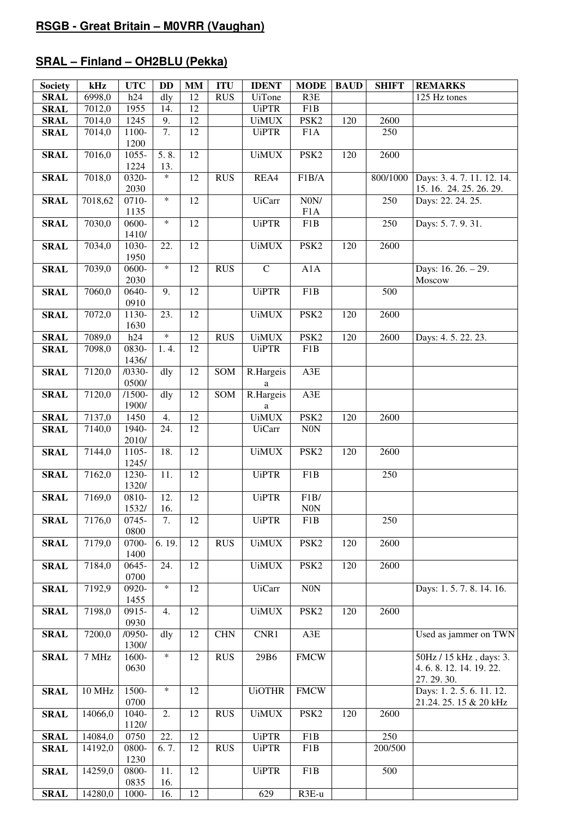# **SRAL – Finland – OH2BLU (Pekka)**

| <b>Society</b>             | kHz     | <b>UTC</b>    | <b>DD</b> | <b>MM</b>       | <b>ITU</b> | <b>IDENT</b>                                                                                                                                             | <b>MODE</b>      | <b>BAUD</b> | <b>SHIFT</b> | <b>REMARKS</b>          |
|----------------------------|---------|---------------|-----------|-----------------|------------|----------------------------------------------------------------------------------------------------------------------------------------------------------|------------------|-------------|--------------|-------------------------|
| <b>SRAL</b>                | 6998,0  | h24           | dly       | 12              | <b>RUS</b> | <b>UiTone</b>                                                                                                                                            | R3E              |             |              | 125 Hz tones            |
| <b>SRAL</b>                | 7012,0  | 1955          | 14.       | 12              |            | <b>UiPTR</b>                                                                                                                                             | F1B              |             |              |                         |
| <b>SRAL</b>                | 7014,0  | 1245          | 9.        | 12              |            | <b>UiMUX</b>                                                                                                                                             | PSK <sub>2</sub> | 120         | 2600         |                         |
| <b>SRAL</b>                | 7014,0  | 1100-         | 7.        | 12              |            | <b>UiPTR</b>                                                                                                                                             | F <sub>1</sub> A |             | 250          |                         |
|                            |         | 1200          |           |                 |            |                                                                                                                                                          |                  |             |              |                         |
| <b>SRAL</b>                | 7016,0  | 1055-         | 5.8.      | 12              |            | <b>UiMUX</b>                                                                                                                                             | PSK <sub>2</sub> | 120         | 2600         |                         |
|                            |         | 1224          | 13.       |                 |            |                                                                                                                                                          |                  |             |              |                         |
| <b>SRAL</b>                | 7018,0  | 0320-         | $\ast$    | 12              | <b>RUS</b> | REA4                                                                                                                                                     | F1B/A            |             | 800/1000     | Days: 3.4.7.11.12.14.   |
|                            |         | 2030          |           |                 |            |                                                                                                                                                          |                  |             |              | 15. 16. 24. 25. 26. 29. |
| <b>SRAL</b>                | 7018,62 | 0710-         | $\ast$    | 12              |            | <b>UiCarr</b>                                                                                                                                            | N0N/             |             | 250          | Days: 22. 24. 25.       |
|                            |         | 1135          |           |                 |            |                                                                                                                                                          | F1A              |             |              |                         |
| <b>SRAL</b>                | 7030,0  | 0600-         | $\ast$    | 12              |            | <b>UiPTR</b>                                                                                                                                             | F1B              |             | 250          | Days: 5.7.9.31.         |
|                            |         | 1410/         |           |                 |            |                                                                                                                                                          |                  |             |              |                         |
| <b>SRAL</b>                | 7034,0  | 1030-         | 22.       | 12              |            | <b>UiMUX</b>                                                                                                                                             | PSK <sub>2</sub> | 120         | 2600         |                         |
|                            |         | 1950          | $\ast$    |                 |            |                                                                                                                                                          |                  |             |              |                         |
| <b>SRAL</b>                | 7039,0  | 0600-         |           | 12              | <b>RUS</b> | $\overline{C}$                                                                                                                                           | A1A              |             |              | Days: 16. 26. - 29.     |
|                            |         | 2030          |           |                 |            |                                                                                                                                                          |                  |             |              | Moscow                  |
| <b>SRAL</b>                | 7060,0  | 0640-         | 9.        | 12              |            | <b>UiPTR</b>                                                                                                                                             | F1B              |             | 500          |                         |
|                            |         | 0910          |           | 12              |            |                                                                                                                                                          |                  |             |              |                         |
| <b>SRAL</b>                | 7072,0  | 1130-<br>1630 | 23.       |                 |            | <b>UiMUX</b>                                                                                                                                             | PSK <sub>2</sub> | 120         | 2600         |                         |
|                            | 7089,0  | h24           | $\ast$    | $\overline{12}$ | <b>RUS</b> | <b>UiMUX</b>                                                                                                                                             | PSK <sub>2</sub> | 120         | 2600         | Days: 4.5. 22.23.       |
| <b>SRAL</b><br><b>SRAL</b> | 7098,0  | 0830-         | 1.4.      | 12              |            | <b>UiPTR</b>                                                                                                                                             | F1B              |             |              |                         |
|                            |         | 1436/         |           |                 |            |                                                                                                                                                          |                  |             |              |                         |
| <b>SRAL</b>                | 7120,0  | $/0330-$      | dly       | 12              | SOM        | R.Hargeis                                                                                                                                                | $A3E$            |             |              |                         |
|                            |         | 0500/         |           |                 |            | $\mathbf{a}$                                                                                                                                             |                  |             |              |                         |
| <b>SRAL</b>                | 7120,0  | $/1500-$      | dly       | 12              | SOM        | R.Hargeis                                                                                                                                                | A3E              |             |              |                         |
|                            |         | 1900/         |           |                 |            | a                                                                                                                                                        |                  |             |              |                         |
| <b>SRAL</b>                | 7137,0  | 1450          | 4.        | 12              |            | <b>UiMUX</b>                                                                                                                                             | PSK <sub>2</sub> | 120         | 2600         |                         |
| <b>SRAL</b>                | 7140,0  | 1940-         | 24.       | 12              |            | <b>UiCarr</b>                                                                                                                                            | $\rm{NON}$       |             |              |                         |
|                            |         | 2010/         |           |                 |            |                                                                                                                                                          |                  |             |              |                         |
| <b>SRAL</b>                | 7144,0  | 1105-         | 18.       | 12              |            | <b>UiMUX</b>                                                                                                                                             | PSK <sub>2</sub> | 120         | 2600         |                         |
|                            |         | 1245/         |           |                 |            |                                                                                                                                                          |                  |             |              |                         |
| <b>SRAL</b>                | 7162,0  | 1230-         | 11.       | 12              |            | <b>UiPTR</b>                                                                                                                                             | F1B              |             | 250          |                         |
|                            |         | 1320/         |           |                 |            |                                                                                                                                                          |                  |             |              |                         |
| <b>SRAL</b>                | 7169,0  | 0810-         | 12.       | 12              |            | <b>UiPTR</b>                                                                                                                                             | F1B/             |             |              |                         |
|                            |         | 1532/         | 16.       |                 |            |                                                                                                                                                          | $\rm{N0N}$       |             |              |                         |
| <b>SRAL</b>                | 7176,0  | 0745-         | 7.        | 12              |            | <b>UiPTR</b>                                                                                                                                             | F1B              |             | 250          |                         |
|                            |         | 0800          |           |                 |            |                                                                                                                                                          |                  |             |              |                         |
| <b>SRAL</b>                | 7179,0  | 0700-         | 6.19.     | 12              | <b>RUS</b> | $\ensuremath{\mathsf{U}}\xspace\ensuremath{\mathsf{i}}\xspace\ensuremath{\mathsf{M}}\xspace\ensuremath{\mathsf{U}}\xspace\ensuremath{\mathsf{X}}\xspace$ | PSK <sub>2</sub> | 120         | 2600         |                         |
|                            |         | 1400          |           | 12              |            |                                                                                                                                                          |                  |             |              |                         |
| <b>SRAL</b>                | 7184,0  | 0645-<br>0700 | 24.       |                 |            | <b>UiMUX</b>                                                                                                                                             | PSK <sub>2</sub> | 120         | 2600         |                         |
| <b>SRAL</b>                | 7192,9  | 0920-         | $\ast$    | 12              |            | <b>UiCarr</b>                                                                                                                                            | $\rm{NON}$       |             |              | Days: 1.5.7.8.14.16.    |
|                            |         | 1455          |           |                 |            |                                                                                                                                                          |                  |             |              |                         |
| <b>SRAL</b>                | 7198,0  | 0915-         | 4.        | 12              |            | <b>UiMUX</b>                                                                                                                                             | PSK <sub>2</sub> | 120         | 2600         |                         |
|                            |         | 0930          |           |                 |            |                                                                                                                                                          |                  |             |              |                         |
| <b>SRAL</b>                | 7200,0  | $/0950-$      | dly       | 12              | <b>CHN</b> | CNR1                                                                                                                                                     | $A3E$            |             |              | Used as jammer on TWN   |
|                            |         | 1300/         |           |                 |            |                                                                                                                                                          |                  |             |              |                         |
| <b>SRAL</b>                | 7 MHz   | 1600-         | $\ast$    | 12              | <b>RUS</b> | 29B6                                                                                                                                                     | <b>FMCW</b>      |             |              | 50Hz / 15 kHz, days: 3. |
|                            |         | 0630          |           |                 |            |                                                                                                                                                          |                  |             |              | 4.6.8.12.14.19.22.      |
|                            |         |               |           |                 |            |                                                                                                                                                          |                  |             |              | 27.29.30.               |
| <b>SRAL</b>                | 10 MHz  | 1500-         | $\ast$    | 12              |            | <b>UiOTHR</b>                                                                                                                                            | <b>FMCW</b>      |             |              | Days: 1.2.5.6.11.12.    |
|                            |         | 0700          |           |                 |            |                                                                                                                                                          |                  |             |              | 21.24. 25. 15 & 20 kHz  |
| <b>SRAL</b>                | 14066,0 | 1040-         | 2.        | 12              | <b>RUS</b> | <b>UiMUX</b>                                                                                                                                             | PSK <sub>2</sub> | 120         | 2600         |                         |
|                            |         | 1120/         |           |                 |            |                                                                                                                                                          |                  |             |              |                         |
| <b>SRAL</b>                | 14084,0 | 0750          | 22.       | 12              |            | <b>UiPTR</b>                                                                                                                                             | F1B              |             | 250          |                         |
| <b>SRAL</b>                | 14192,0 | 0800-         | 6.7.      | 12              | <b>RUS</b> | <b>UiPTR</b>                                                                                                                                             | F1B              |             | 200/500      |                         |
|                            |         | 1230          |           |                 |            |                                                                                                                                                          |                  |             |              |                         |
| <b>SRAL</b>                | 14259,0 | 0800-         | 11.       | 12              |            | <b>UiPTR</b>                                                                                                                                             | F1B              |             | 500          |                         |
|                            |         | 0835          | 16.       |                 |            |                                                                                                                                                          |                  |             |              |                         |
| <b>SRAL</b>                | 14280,0 | 1000-         | 16.       | 12              |            | 629                                                                                                                                                      | R3E-u            |             |              |                         |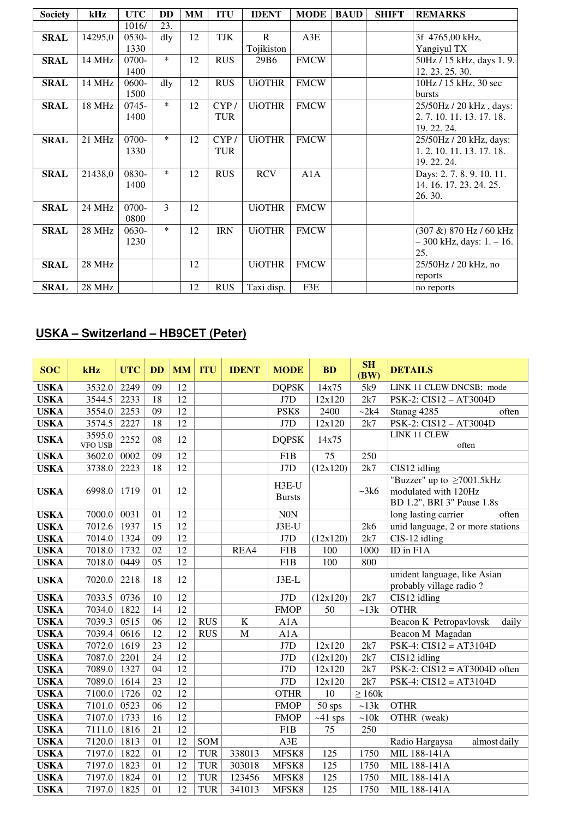| <b>Society</b> | kHz     | <b>UTC</b> | DD     | MM | <b>ITU</b> | <b>IDENT</b>  | <b>MODE</b> | <b>BAUD</b> | <b>SHIFT</b> | <b>REMARKS</b>                |
|----------------|---------|------------|--------|----|------------|---------------|-------------|-------------|--------------|-------------------------------|
|                |         | 1016/      | 23.    |    |            |               |             |             |              |                               |
| <b>SRAL</b>    | 14295,0 | $0530-$    | dly    | 12 | TJK        | $\mathbf{R}$  | A3E         |             |              | 3f 4765,00 kHz,               |
|                |         | 1330       |        |    |            | Tojikiston    |             |             |              | Yangiyul TX                   |
| <b>SRAL</b>    | 14 MHz  | 0700-      | $\ast$ | 12 | <b>RUS</b> | 29B6          | <b>FMCW</b> |             |              | 50Hz / 15 kHz, days 1.9.      |
|                |         | 1400       |        |    |            |               |             |             |              | 12. 23. 25. 30.               |
| <b>SRAL</b>    | 14 MHz  | $0600 -$   | dly    | 12 | <b>RUS</b> | <b>UiOTHR</b> | FMCW        |             |              | 10Hz / 15 kHz, 30 sec         |
|                |         | 1500       |        |    |            |               |             |             |              | <b>bursts</b>                 |
| <b>SRAL</b>    | 18 MHz  | 0745-      | $\ast$ | 12 | CYP/       | <b>UiOTHR</b> | <b>FMCW</b> |             |              | 25/50Hz / 20 kHz, days:       |
|                |         | 1400       |        |    | <b>TUR</b> |               |             |             |              | 2. 7. 10. 11. 13. 17. 18.     |
|                |         |            |        |    |            |               |             |             |              | 19. 22. 24.                   |
| <b>SRAL</b>    | 21 MHz  | 0700-      | $\ast$ | 12 | CYP/       | <b>UiOTHR</b> | <b>FMCW</b> |             |              | 25/50Hz / 20 kHz, days:       |
|                |         | 1330       |        |    | <b>TUR</b> |               |             |             |              | 1.2.10.11.13.17.18.           |
|                |         |            |        |    |            |               |             |             |              | 19. 22. 24.                   |
| <b>SRAL</b>    | 21438,0 | 0830-      | $\ast$ | 12 | <b>RUS</b> | <b>RCV</b>    | A1A         |             |              | Days: 2.7.8.9.10.11.          |
|                |         | 1400       |        |    |            |               |             |             |              | 14. 16. 17. 23. 24. 25.       |
|                |         |            |        |    |            |               |             |             |              | 26.30.                        |
| <b>SRAL</b>    | 24 MHz  | 0700-      | 3      | 12 |            | <b>UiOTHR</b> | <b>FMCW</b> |             |              |                               |
|                |         | 0800       |        |    |            |               |             |             |              |                               |
| <b>SRAL</b>    | 28 MHz  | 0630-      | $\ast$ | 12 | <b>IRN</b> | <b>UiOTHR</b> | <b>FMCW</b> |             |              | $(307 \&) 870$ Hz / 60 kHz    |
|                |         | 1230       |        |    |            |               |             |             |              | $-300$ kHz, days: $1. - 16$ . |
|                |         |            |        |    |            |               |             |             |              | 25.                           |
| <b>SRAL</b>    | 28 MHz  |            |        | 12 |            | <b>UiOTHR</b> | <b>FMCW</b> |             |              | 25/50Hz / 20 kHz, no          |
|                |         |            |        |    |            |               |             |             |              | reports                       |
| <b>SRAL</b>    | 28 MHz  |            |        | 12 | <b>RUS</b> | Taxi disp.    | F3E         |             |              | no reports                    |

# **USKA – Switzerland – HB9CET (Peter)**

| <b>SOC</b>  | kHz                      | <b>UTC</b> | <b>DD</b>       | <b>MM</b>       | <b>ITU</b> | <b>IDENT</b> | <b>MODE</b>            | <b>BD</b> | <b>SH</b><br>(BW) | <b>DETAILS</b>                                                                        |
|-------------|--------------------------|------------|-----------------|-----------------|------------|--------------|------------------------|-----------|-------------------|---------------------------------------------------------------------------------------|
| <b>USKA</b> | 3532.0                   | 2249       | 09              | 12              |            |              | <b>DQPSK</b>           | 14x75     | 5k9               | LINK 11 CLEW DNCSB; mode                                                              |
| <b>USKA</b> | 3544.5                   | 2233       | 18              | 12              |            |              | J7D                    | 12x120    | 2k7               | PSK-2: CIS12 - AT3004D                                                                |
| <b>USKA</b> | 3554.0                   | 2253       | 09              | 12              |            |              | PSK8                   | 2400      | ~2k4              | Stanag 4285<br>often                                                                  |
| <b>USKA</b> | 3574.5                   | 2227       | 18              | 12              |            |              | J7D                    | 12x120    | 2k7               | PSK-2: CIS12 - AT3004D                                                                |
| <b>USKA</b> | 3595.0<br><b>VFO USB</b> | 2252       | 08              | 12              |            |              | <b>DQPSK</b>           | 14x75     |                   | LINK 11 CLEW<br>often                                                                 |
| <b>USKA</b> | 3602.0                   | 0002       | 09              | 12              |            |              | F <sub>1</sub> B       | 75        | 250               |                                                                                       |
| <b>USKA</b> | 3738.0                   | 2223       | 18              | 12              |            |              | J7D                    | (12x120)  | 2k7               | CIS12 idling                                                                          |
| <b>USKA</b> | 6998.0                   | 1719       | 01              | 12              |            |              | H3E-U<br><b>Bursts</b> |           | ~28k              | "Buzzer" up to $\geq$ 7001.5kHz<br>modulated with 120Hz<br>BD 1.2", BRI 3" Pause 1.8s |
| <b>USKA</b> | 7000.0                   | 0031       | 01              | 12              |            |              | <b>N0N</b>             |           |                   | long lasting carrier<br>often                                                         |
| <b>USKA</b> | 7012.6                   | 1937       | $\overline{15}$ | $\overline{12}$ |            |              | J3E-U                  |           | 2k6               | unid language, 2 or more stations                                                     |
| <b>USKA</b> | 7014.0                   | 1324       | 09              | $\overline{12}$ |            |              | J7D                    | (12x120)  | 2k7               | CIS-12 idling                                                                         |
| <b>USKA</b> | 7018.0                   | 1732       | 02              | 12              |            | REA4         | F <sub>1</sub> B       | 100       | 1000              | ID in F1A                                                                             |
| <b>USKA</b> | 7018.0                   | 0449       | 05              | $\overline{12}$ |            |              | F <sub>1</sub> B       | 100       | 800               |                                                                                       |
| <b>USKA</b> | 7020.0                   | 2218       | 18              | 12              |            |              | $J3E-L$                |           |                   | unident language, like Asian<br>probably village radio?                               |
| <b>USKA</b> | 7033.5                   | 0736       | 10              | 12              |            |              | J7D                    | (12x120)  | 2k7               | CIS12 idling                                                                          |
| <b>USKA</b> | 7034.0                   | 1822       | 14              | 12              |            |              | <b>FMOP</b>            | 50        | ~13k              | <b>OTHR</b>                                                                           |
| <b>USKA</b> | 7039.3                   | 0515       | 06              | 12              | <b>RUS</b> | $\bf K$      | A1A                    |           |                   | Beacon K Petropavlovsk<br>daily                                                       |
| <b>USKA</b> | 7039.4                   | 0616       | 12              | 12              | <b>RUS</b> | M            | A1A                    |           |                   | Beacon M Magadan                                                                      |
| <b>USKA</b> | 7072.0                   | 1619       | 23              | 12              |            |              | J7D                    | 12x120    | 2k7               | $PSK-4$ : $CIS12 = AT3104D$                                                           |
| <b>USKA</b> | 7087.0                   | 2201       | 24              | 12              |            |              | J7D                    | (12x120)  | 2k7               | CIS12 idling                                                                          |
| <b>USKA</b> | 7089.0                   | 1327       | 04              | 12              |            |              | J7D                    | 12x120    | 2k7               | PSK-2: $CIS12 = AT3004D$ often                                                        |
| <b>USKA</b> | 7089.0                   | 1614       | 23              | 12              |            |              | J7D                    | 12x120    | 2k7               | $PSK-4$ : $CIS12 = AT3104D$                                                           |
| <b>USKA</b> | 7100.0                   | 1726       | 02              | 12              |            |              | <b>OTHR</b>            | 10        | $\geq 160k$       |                                                                                       |
| <b>USKA</b> | 7101.0                   | 0523       | 06              | 12              |            |              | <b>FMOP</b>            | 50 sps    | ~13k              | <b>OTHR</b>                                                                           |
| <b>USKA</b> | 7107.0                   | 1733       | 16              | 12              |            |              | <b>FMOP</b>            | $~1$ sps  | ~10k              | OTHR (weak)                                                                           |
| <b>USKA</b> | 7111.0                   | 1816       | 21              | 12              |            |              | F1B                    | 75        | 250               |                                                                                       |
| <b>USKA</b> | 7120.0                   | 1813       | 01              | 12              | SOM        |              | A3E                    |           |                   | Radio Hargaysa<br>almost daily                                                        |
| <b>USKA</b> | 7197.0                   | 1822       | 01              | 12              | <b>TUR</b> | 338013       | MFSK8                  | 125       | 1750              | MIL 188-141A                                                                          |
| <b>USKA</b> | 7197.0                   | 1823       | 01              | 12              | <b>TUR</b> | 303018       | MFSK8                  | 125       | 1750              | MIL 188-141A                                                                          |
| <b>USKA</b> | 7197.0                   | 1824       | 01              | 12              | <b>TUR</b> | 123456       | MFSK8                  | 125       | 1750              | MIL 188-141A                                                                          |
| <b>USKA</b> | 7197.0                   | 1825       | 01              | 12              | <b>TUR</b> | 341013       | MFSK8                  | 125       | 1750              | MIL 188-141A                                                                          |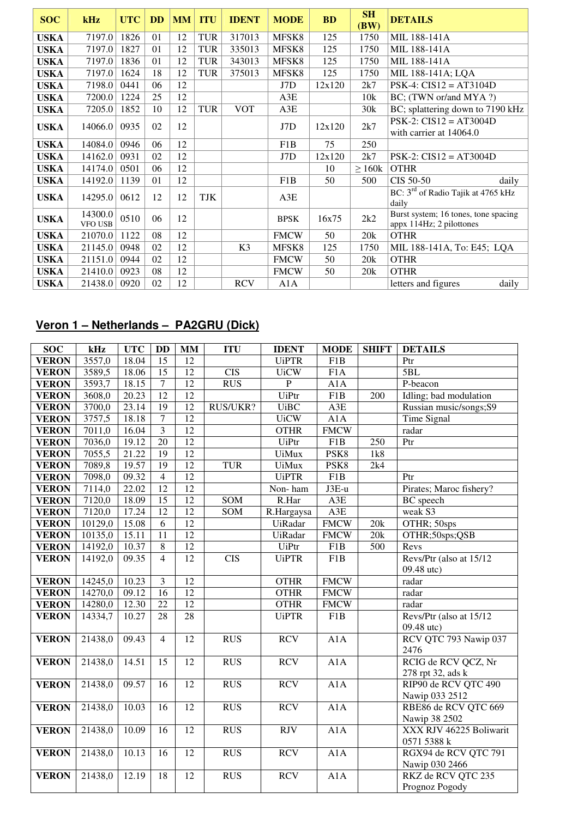| <b>SOC</b>  | kHz                       | <b>UTC</b> | <b>DD</b> | <b>MM</b> | <b>ITU</b> | <b>IDENT</b>   | <b>MODE</b> | <b>BD</b> | SH<br>(BW)  | <b>DETAILS</b>                                                   |
|-------------|---------------------------|------------|-----------|-----------|------------|----------------|-------------|-----------|-------------|------------------------------------------------------------------|
| USKA        | 7197.0                    | 1826       | 01        | 12        | <b>TUR</b> | 317013         | MFSK8       | 125       | 1750        | MIL 188-141A                                                     |
| USKA        | 7197.0                    | 1827       | 01        | 12        | <b>TUR</b> | 335013         | MFSK8       | 125       | 1750        | MIL 188-141A                                                     |
| <b>USKA</b> | 7197.0                    | 1836       | 01        | 12        | <b>TUR</b> | 343013         | MFSK8       | 125       | 1750        | MIL 188-141A                                                     |
| <b>USKA</b> | 7197.0                    | 1624       | 18        | 12        | <b>TUR</b> | 375013         | MFSK8       | 125       | 1750        | MIL 188-141A; LQA                                                |
| <b>USKA</b> | 7198.0                    | 0441       | 06        | 12        |            |                | J7D         | 12x120    | 2k7         | $PSK-4$ : $CIS12 = AT3104D$                                      |
| <b>USKA</b> | 7200.0                    | 1224       | 25        | 12        |            |                | A3E         |           | 10k         | BC; (TWN or/and MYA ?)                                           |
| <b>USKA</b> | 7205.0                    | 1852       | 10        | 12        | <b>TUR</b> | <b>VOT</b>     | A3E         |           | 30k         | BC; splattering down to 7190 kHz                                 |
| <b>USKA</b> | 14066.0                   | 0935       | 02        | 12        |            |                | J7D         | 12x120    | 2k7         | $PSK-2$ : $CIS12 = AT3004D$<br>with carrier at 14064.0           |
| <b>USKA</b> | 14084.0                   | 0946       | 06        | 12        |            |                | F1B         | 75        | 250         |                                                                  |
| <b>USKA</b> | 14162.0                   | 0931       | 02        | 12        |            |                | J7D         | 12x120    | 2k7         | $PSK-2$ : $CIS12 = AT3004D$                                      |
| <b>USKA</b> | 14174.0                   | 0501       | 06        | 12        |            |                |             | 10        | $\geq 160k$ | <b>OTHR</b>                                                      |
| <b>USKA</b> | 14192.0                   | 1139       | 01        | 12        |            |                | F1B         | 50        | 500         | CIS 50-50<br>daily                                               |
| <b>USKA</b> | 14295.0                   | 0612       | 12        | 12        | <b>TJK</b> |                | A3E         |           |             | BC: $3rd$ of Radio Tajik at 4765 kHz<br>daily                    |
| <b>USKA</b> | 14300.0<br><b>VFO USB</b> | 0510       | 06        | 12        |            |                | <b>BPSK</b> | 16x75     | 2k2         | Burst system; 16 tones, tone spacing<br>appx 114Hz; 2 pilottones |
| <b>USKA</b> | 21070.0                   | 1122       | 08        | 12        |            |                | <b>FMCW</b> | 50        | 20k         | <b>OTHR</b>                                                      |
| <b>USKA</b> | 21145.0                   | 0948       | 02        | 12        |            | K <sub>3</sub> | MFSK8       | 125       | 1750        | MIL 188-141A, To: E45; LQA                                       |
| <b>USKA</b> | 21151.0                   | 0944       | 02        | 12        |            |                | <b>FMCW</b> | 50        | 20k         | <b>OTHR</b>                                                      |
| <b>USKA</b> | 21410.0                   | 0923       | 08        | 12        |            |                | <b>FMCW</b> | 50        | 20k         | <b>OTHR</b>                                                      |
| <b>USKA</b> | 21438.0                   | 0920       | 02        | 12        |            | <b>RCV</b>     | A1A         |           |             | letters and figures<br>daily                                     |

### **Veron 1 – Netherlands – PA2GRU (Dick)**

| <b>SOC</b>   | kHz     | <b>UTC</b> | <b>DD</b>       | MM              | <b>ITU</b>       | <b>IDENT</b>     | <b>MODE</b>      | <b>SHIFT</b>     | <b>DETAILS</b>          |
|--------------|---------|------------|-----------------|-----------------|------------------|------------------|------------------|------------------|-------------------------|
| <b>VERON</b> | 3557,0  | 18.04      | $\overline{15}$ | 12              |                  | <b>UiPTR</b>     | F1B              |                  | Ptr                     |
| <b>VERON</b> | 3589,5  | 18.06      | 15              | $\overline{12}$ | $\overline{CIS}$ | <b>UiCW</b>      | F1A              |                  | 5BL                     |
| <b>VERON</b> | 3593,7  | 18.15      | $\overline{7}$  | $\overline{12}$ | <b>RUS</b>       | $\overline{P}$   | A1A              |                  | P-beacon                |
| <b>VERON</b> | 3608,0  | 20.23      | 12              | 12              |                  | UiPtr            | F1B              | $\overline{200}$ | Idling; bad modulation  |
| <b>VERON</b> | 3700,0  | 23.14      | 19              | 12              | RUS/UKR?         | <b>UiBC</b>      | A3E              |                  | Russian music/songs;S9  |
| <b>VERON</b> | 3757,5  | 18.18      | $\overline{7}$  | 12              |                  | <b>UiCW</b>      | A1A              |                  | Time Signal             |
| <b>VERON</b> | 7011,0  | 16.04      | $\overline{3}$  | $\overline{12}$ |                  | <b>OTHR</b>      | <b>FMCW</b>      |                  | radar                   |
| <b>VERON</b> | 7036,0  | 19.12      | $\overline{20}$ | 12              |                  | <b>UiPtr</b>     | F1B              | 250              | Ptr                     |
| <b>VERON</b> | 7055,5  | 21.22      | $\overline{19}$ | 12              |                  | <b>UiMux</b>     | PSK <sub>8</sub> | 1k8              |                         |
| <b>VERON</b> | 7089,8  | 19.57      | $\overline{19}$ | $\overline{12}$ | <b>TUR</b>       | <b>UiMux</b>     | PSK <sub>8</sub> | 2k4              |                         |
| <b>VERON</b> | 7098,0  | 09.32      | $\overline{4}$  | $\overline{12}$ |                  | <b>UiPTR</b>     | F1B              |                  | Ptr                     |
| <b>VERON</b> | 7114,0  | 22.02      | $\overline{12}$ | $\overline{12}$ |                  | Non-ham          | $J3E-u$          |                  | Pirates; Maroc fishery? |
| <b>VERON</b> | 7120,0  | 18.09      | $\overline{15}$ | 12              | SOM              | R.Har            | A3E              |                  | <b>BC</b> speech        |
| <b>VERON</b> | 7120,0  | 17.24      | $\overline{12}$ | $\overline{12}$ | SOM              | R.Hargaysa       | A3E              |                  | weak S3                 |
| <b>VERON</b> | 10129,0 | 15.08      | 6               | $\overline{12}$ |                  | <b>UiRadar</b>   | <b>FMCW</b>      | 20k              | OTHR; 50sps             |
| <b>VERON</b> | 10135,0 | 15.11      | 11              | 12              |                  | <b>UiRadar</b>   | <b>FMCW</b>      | $20k$            | OTHR;50sps;QSB          |
| <b>VERON</b> | 14192,0 | 10.37      | $\,8\,$         | 12              |                  | UiPtr            | F1B              | 500              | Revs                    |
| <b>VERON</b> | 14192,0 | 09.35      | $\overline{4}$  | 12              | <b>CIS</b>       | <b>UiPTR</b>     | F1B              |                  | Revs/Ptr (also at 15/12 |
|              |         |            |                 |                 |                  |                  |                  |                  | 09.48 utc)              |
| <b>VERON</b> | 14245,0 | 10.23      | $\mathfrak{Z}$  | 12              |                  | <b>OTHR</b>      | <b>FMCW</b>      |                  | radar                   |
| <b>VERON</b> | 14270,0 | 09.12      | 16              | $\overline{12}$ |                  | <b>OTHR</b>      | <b>FMCW</b>      |                  | radar                   |
| <b>VERON</b> | 14280,0 | 12.30      | 22              | $\overline{12}$ |                  | <b>OTHR</b>      | <b>FMCW</b>      |                  | radar                   |
| <b>VERON</b> | 14334,7 | 10.27      | 28              | 28              |                  | <b>UiPTR</b>     | F1B              |                  | Revs/Ptr (also at 15/12 |
|              |         |            |                 |                 |                  |                  |                  |                  | 09.48 utc)              |
| <b>VERON</b> | 21438,0 | 09.43      | $\overline{4}$  | 12              | RUS              | <b>RCV</b>       | A1A              |                  | RCV QTC 793 Nawip 037   |
|              |         |            |                 |                 |                  |                  |                  |                  | 2476                    |
| <b>VERON</b> | 21438,0 | 14.51      | 15              | 12              | <b>RUS</b>       | <b>RCV</b>       | A1A              |                  | RCIG de RCV QCZ, Nr     |
|              |         |            |                 |                 |                  |                  |                  |                  | 278 rpt 32, ads k       |
| <b>VERON</b> | 21438,0 | 09.57      | 16              | $\overline{12}$ | <b>RUS</b>       | <b>RCV</b>       | A1A              |                  | RIP90 de RCV QTC 490    |
|              |         |            |                 |                 |                  |                  |                  |                  | Nawip 033 2512          |
| <b>VERON</b> | 21438,0 | 10.03      | 16              | 12              | <b>RUS</b>       | <b>RCV</b>       | A1A              |                  | RBE86 de RCV QTC 669    |
|              |         |            |                 |                 |                  |                  |                  |                  | Nawip 38 2502           |
| <b>VERON</b> | 21438,0 | 10.09      | 16              | $\overline{12}$ | <b>RUS</b>       | $\overline{RJV}$ | A1A              |                  | XXX RJV 46225 Boliwarit |
|              |         |            |                 |                 |                  |                  |                  |                  | 0571 5388 k             |
| <b>VERON</b> | 21438,0 | 10.13      | 16              | 12              | <b>RUS</b>       | <b>RCV</b>       | A1A              |                  | RGX94 de RCV QTC 791    |
|              |         |            |                 | 12              |                  |                  |                  |                  | Nawip 030 2466          |
| <b>VERON</b> | 21438,0 | 12.19      | 18              |                 | <b>RUS</b>       | <b>RCV</b>       | A1A              |                  | RKZ de RCV QTC 235      |
|              |         |            |                 |                 |                  |                  |                  |                  | Prognoz Pogody          |